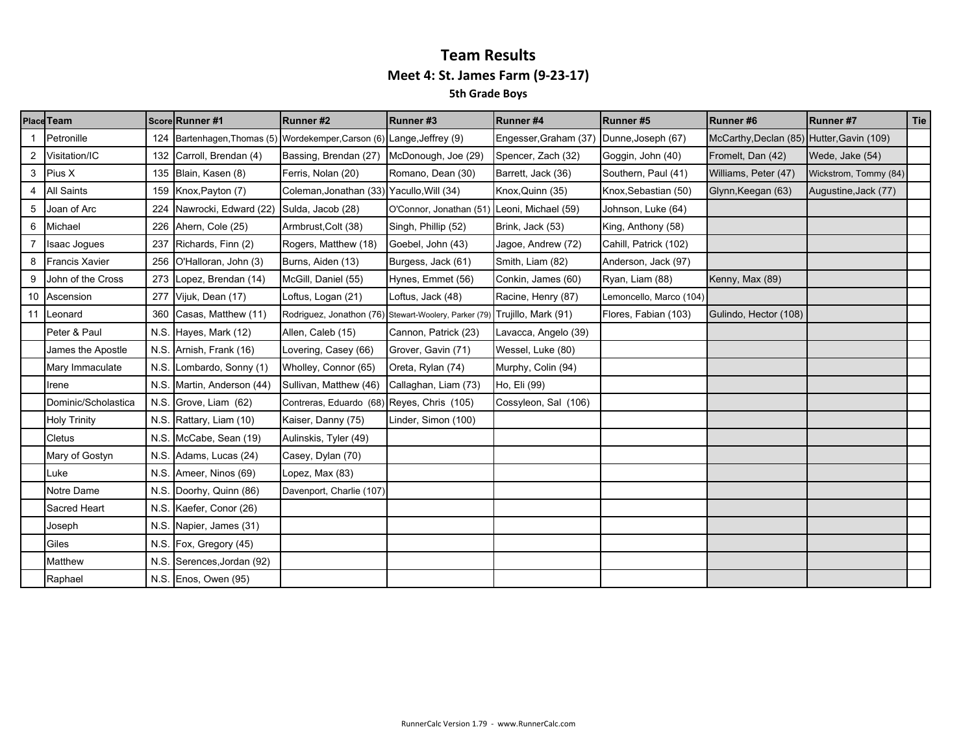|   | Place Team            |      | Score Runner #1                                                        | Runner#2                                             | Runner#3               | Runner#4              | Runner#5                | Runner#6                                  | Runner#7              | Tie |
|---|-----------------------|------|------------------------------------------------------------------------|------------------------------------------------------|------------------------|-----------------------|-------------------------|-------------------------------------------|-----------------------|-----|
|   | Petronille            |      | 124 Bartenhagen, Thomas (5) Wordekemper, Carson (6) Lange, Jeffrey (9) |                                                      |                        | Engesser, Graham (37) | Dunne, Joseph (67)      | McCarthy, Declan (85) Hutter, Gavin (109) |                       |     |
| 2 | Visitation/IC         |      | 132 Carroll, Brendan (4)                                               | Bassing, Brendan (27) McDonough, Joe (29)            |                        | Spencer, Zach (32)    | Goggin, John (40)       | Fromelt, Dan (42)                         | Wede, Jake (54)       |     |
|   | 3 Pius X              |      | 135 Blain, Kasen (8)                                                   | Ferris, Nolan (20)                                   | Romano, Dean (30)      | Barrett, Jack (36)    | Southern, Paul (41)     | Williams, Peter (47)                      | Wickstrom, Tommy (84) |     |
| 4 | <b>All Saints</b>     |      | 159 Knox, Payton (7)                                                   | Coleman, Jonathan (33) Yacullo, Will (34)            |                        | Knox, Quinn (35)      | Knox, Sebastian (50)    | Glynn, Keegan (63)                        | Augustine, Jack (77)  |     |
|   | Joan of Arc           |      | 224 Nawrocki, Edward (22) Sulda, Jacob (28)                            |                                                      | O'Connor, Jonathan (51 | Leoni, Michael (59)   | Johnson, Luke (64)      |                                           |                       |     |
| 6 | Michael               |      | 226 Ahern, Cole (25)                                                   | Armbrust, Colt (38)                                  | Singh, Phillip (52)    | Brink, Jack (53)      | King, Anthony (58)      |                                           |                       |     |
|   | Isaac Jogues          |      | 237 Richards, Finn (2)                                                 | Rogers, Matthew (18)                                 | Goebel, John (43)      | Jagoe, Andrew (72)    | Cahill, Patrick (102)   |                                           |                       |     |
| 8 | <b>Francis Xavier</b> |      | 256 O'Halloran, John (3)                                               | Burns, Aiden (13)                                    | Burgess, Jack (61)     | Smith, Liam (82)      | Anderson, Jack (97)     |                                           |                       |     |
|   | John of the Cross     |      | 273 Lopez, Brendan (14)                                                | McGill, Daniel (55)                                  | Hynes, Emmet (56)      | Conkin, James (60)    | Ryan, Liam (88)         | Kenny, Max (89)                           |                       |     |
|   | 10 Ascension          |      | 277 Vijuk, Dean (17)                                                   | Loftus, Logan (21)                                   | Loftus, Jack (48)      | Racine, Henry (87)    | Lemoncello, Marco (104) |                                           |                       |     |
|   | 11 Leonard            |      | 360 Casas, Matthew (11)                                                | Rodriguez, Jonathon (76) Stewart-Woolery, Parker (79 |                        | Trujillo, Mark (91)   | Flores, Fabian (103)    | Gulindo, Hector (108)                     |                       |     |
|   | Peter & Paul          |      | N.S. Hayes, Mark (12)                                                  | Allen, Caleb (15)                                    | Cannon, Patrick (23)   | Lavacca, Angelo (39)  |                         |                                           |                       |     |
|   | James the Apostle     |      | N.S. Arnish, Frank (16)                                                | Lovering, Casey (66)                                 | Grover, Gavin (71)     | Wessel, Luke (80)     |                         |                                           |                       |     |
|   | Mary Immaculate       |      | N.S. Lombardo, Sonny (1)                                               | Wholley, Connor (65)                                 | Oreta, Rylan (74)      | Murphy, Colin (94)    |                         |                                           |                       |     |
|   | Irene                 |      | N.S. Martin, Anderson (44)                                             | Sullivan, Matthew (46)                               | Callaghan, Liam (73)   | Ho, Eli (99)          |                         |                                           |                       |     |
|   | Dominic/Scholastica   | N.S. | Grove, Liam (62)                                                       | Contreras, Eduardo (68) Reyes, Chris (105)           |                        | Cossyleon, Sal (106)  |                         |                                           |                       |     |
|   | <b>Holy Trinity</b>   |      | N.S. Rattary, Liam (10)                                                | Kaiser, Danny (75)                                   | Linder, Simon (100)    |                       |                         |                                           |                       |     |
|   | Cletus                |      | N.S. McCabe, Sean (19)                                                 | Aulinskis, Tyler (49)                                |                        |                       |                         |                                           |                       |     |
|   | Mary of Gostyn        |      | N.S. Adams, Lucas (24)                                                 | Casey, Dylan (70)                                    |                        |                       |                         |                                           |                       |     |
|   | Luke                  |      | N.S. Ameer, Ninos (69)                                                 | Lopez, Max (83)                                      |                        |                       |                         |                                           |                       |     |
|   | Notre Dame            |      | N.S. Doorhy, Quinn (86)                                                | Davenport, Charlie (107)                             |                        |                       |                         |                                           |                       |     |
|   | Sacred Heart          |      | N.S. Kaefer, Conor (26)                                                |                                                      |                        |                       |                         |                                           |                       |     |
|   | Joseph                |      | N.S. Napier, James (31)                                                |                                                      |                        |                       |                         |                                           |                       |     |
|   | Giles                 |      | N.S. Fox, Gregory (45)                                                 |                                                      |                        |                       |                         |                                           |                       |     |
|   | Matthew               |      | N.S. Serences, Jordan (92)                                             |                                                      |                        |                       |                         |                                           |                       |     |
|   | Raphael               |      | N.S. Enos, Owen (95)                                                   |                                                      |                        |                       |                         |                                           |                       |     |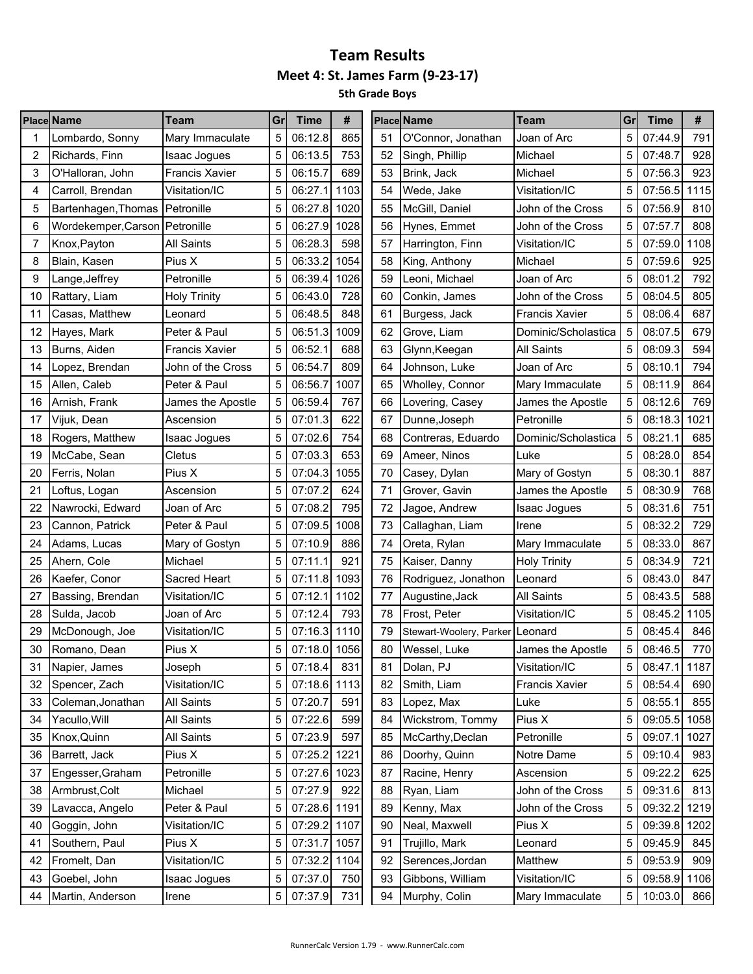|    | <b>Place Name</b>                | Team                  | Gr | Time         | #    |    | <b>Place Name</b>               | Team                  | Gr | Time         | #    |
|----|----------------------------------|-----------------------|----|--------------|------|----|---------------------------------|-----------------------|----|--------------|------|
|    | Lombardo, Sonny                  | Mary Immaculate       | 5  | 06:12.8      | 865  | 51 | O'Connor, Jonathan              | Joan of Arc           | 5  | 07:44.9      | 791  |
| 2  | Richards, Finn                   | Isaac Jogues          | 5  | 06:13.5      | 753  | 52 | Singh, Phillip                  | Michael               | 5  | 07:48.7      | 928  |
| 3  | O'Halloran, John                 | <b>Francis Xavier</b> | 5  | 06:15.7      | 689  | 53 | Brink, Jack                     | Michael               | 5  | 07:56.3      | 923  |
| 4  | Carroll, Brendan                 | Visitation/IC         | 5  | 06:27.1      | 1103 | 54 | Wede, Jake                      | Visitation/IC         | 5  | 07:56.5      | 1115 |
| 5  | Bartenhagen, Thomas   Petronille |                       | 5  | 06:27.8      | 1020 | 55 | McGill, Daniel                  | John of the Cross     | 5  | 07:56.9      | 810  |
| 6  | Wordekemper, Carson Petronille   |                       | 5  | 06:27.9      | 1028 | 56 | Hynes, Emmet                    | John of the Cross     | 5  | 07:57.7      | 808  |
| 7  | Knox, Payton                     | <b>All Saints</b>     | 5  | 06:28.3      | 598  | 57 | Harrington, Finn                | Visitation/IC         | 5  | 07:59.0      | 1108 |
| 8  | Blain, Kasen                     | Pius X                | 5  | 06:33.2      | 1054 | 58 | King, Anthony                   | Michael               | 5  | 07:59.6      | 925  |
| 9  | Lange, Jeffrey                   | Petronille            | 5  | 06:39.4      | 1026 | 59 | Leoni, Michael                  | Joan of Arc           | 5  | 08:01.2      | 792  |
| 10 | Rattary, Liam                    | <b>Holy Trinity</b>   | 5  | 06:43.0      | 728  | 60 | Conkin, James                   | John of the Cross     | 5  | 08:04.5      | 805  |
| 11 | Casas, Matthew                   | Leonard               | 5  | 06:48.5      | 848  | 61 | Burgess, Jack                   | <b>Francis Xavier</b> | 5  | 08:06.4      | 687  |
| 12 | Hayes, Mark                      | Peter & Paul          | 5  | 06:51.3      | 1009 | 62 | Grove, Liam                     | Dominic/Scholastica   | 5  | 08:07.5      | 679  |
| 13 | Burns, Aiden                     | <b>Francis Xavier</b> | 5  | 06:52.1      | 688  | 63 | Glynn, Keegan                   | All Saints            | 5  | 08:09.3      | 594  |
| 14 | Lopez, Brendan                   | John of the Cross     | 5  | 06:54.7      | 809  | 64 | Johnson, Luke                   | Joan of Arc           | 5  | 08:10.1      | 794  |
| 15 | Allen, Caleb                     | Peter & Paul          | 5  | 06:56.7      | 1007 | 65 | Wholley, Connor                 | Mary Immaculate       | 5  | 08:11.9      | 864  |
| 16 | Arnish, Frank                    | James the Apostle     | 5  | 06:59.4      | 767  | 66 | Lovering, Casey                 | James the Apostle     | 5  | 08:12.6      | 769  |
| 17 | Vijuk, Dean                      | Ascension             | 5  | 07:01.3      | 622  | 67 | Dunne, Joseph                   | Petronille            | 5  | 08:18.3      | 1021 |
| 18 | Rogers, Matthew                  | Isaac Jogues          | 5  | 07:02.6      | 754  | 68 | Contreras, Eduardo              | Dominic/Scholastica   | 5  | 08:21.1      | 685  |
| 19 | McCabe, Sean                     | Cletus                | 5  | 07:03.3      | 653  | 69 | Ameer, Ninos                    | Luke                  | 5  | 08:28.0      | 854  |
| 20 | Ferris, Nolan                    | Pius X                | 5  | 07:04.3      | 1055 | 70 | Casey, Dylan                    | Mary of Gostyn        | 5  | 08:30.1      | 887  |
| 21 | Loftus, Logan                    | Ascension             | 5  | 07:07.2      | 624  | 71 | Grover, Gavin                   | James the Apostle     | 5  | 08:30.9      | 768  |
| 22 | Nawrocki, Edward                 | Joan of Arc           | 5  | 07:08.2      | 795  | 72 | Jagoe, Andrew                   | <b>Isaac Jogues</b>   | 5  | 08:31.6      | 751  |
| 23 | Cannon, Patrick                  | Peter & Paul          | 5  | 07:09.5      | 1008 | 73 | Callaghan, Liam                 | Irene                 | 5  | 08:32.2      | 729  |
| 24 | Adams, Lucas                     | Mary of Gostyn        | 5  | 07:10.9      | 886  | 74 | Oreta, Rylan                    | Mary Immaculate       | 5  | 08:33.0      | 867  |
| 25 | Ahern, Cole                      | Michael               | 5  | 07:11.1      | 921  | 75 | Kaiser, Danny                   | <b>Holy Trinity</b>   | 5  | 08:34.9      | 721  |
| 26 | Kaefer, Conor                    | Sacred Heart          | 5  | 07:11.8      | 1093 | 76 | Rodriguez, Jonathon             | Leonard               | 5  | 08:43.0      | 847  |
| 27 | Bassing, Brendan                 | Visitation/IC         | 5  | 07:12.1      | 1102 | 77 | Augustine, Jack                 | <b>All Saints</b>     | 5  | 08:43.5      | 588  |
| 28 | Sulda, Jacob                     | Joan of Arc           | 5  | 07:12.4      | 793  | 78 | Frost, Peter                    | Visitation/IC         | 5  | 08:45.2      | 1105 |
| 29 | McDonough, Joe                   | Visitation/IC         | 5  | 07:16.3      | 1110 | 79 | Stewart-Woolery, Parker Leonard |                       | 5  | 08:45.4      | 846  |
| 30 | Romano, Dean                     | Pius X                | 5  | 07:18.0 1056 |      | 80 | Wessel, Luke                    | James the Apostle     | 5  | 08:46.5      | 770  |
| 31 | Napier, James                    | Joseph                | 5  | 07:18.4      | 831  | 81 | Dolan, PJ                       | Visitation/IC         | 5  | 08:47.1 1187 |      |
| 32 | Spencer, Zach                    | Visitation/IC         | 5  | 07:18.6 1113 |      | 82 | Smith, Liam                     | <b>Francis Xavier</b> | 5  | 08:54.4      | 690  |
| 33 | Coleman, Jonathan                | All Saints            | 5  | 07:20.7      | 591  | 83 | Lopez, Max                      | Luke                  | 5  | 08:55.1      | 855  |
| 34 | Yacullo, Will                    | All Saints            | 5  | 07:22.6      | 599  | 84 | Wickstrom, Tommy                | Pius X                | 5  | 09:05.5      | 1058 |
| 35 | Knox, Quinn                      | All Saints            | 5  | 07:23.9      | 597  | 85 | McCarthy, Declan                | Petronille            | 5  | 09:07.1      | 1027 |
| 36 | Barrett, Jack                    | Pius X                | 5  | 07:25.2      | 1221 | 86 | Doorhy, Quinn                   | Notre Dame            | 5  | 09:10.4      | 983  |
| 37 | Engesser, Graham                 | Petronille            | 5  | 07:27.6 1023 |      | 87 | Racine, Henry                   | Ascension             | 5  | 09:22.2      | 625  |
| 38 | Armbrust, Colt                   | Michael               | 5  | 07:27.9      | 922  | 88 | Ryan, Liam                      | John of the Cross     | 5  | 09:31.6      | 813  |
| 39 | Lavacca, Angelo                  | Peter & Paul          | 5  | 07:28.6 1191 |      | 89 | Kenny, Max                      | John of the Cross     | 5  | 09:32.2      | 1219 |
| 40 | Goggin, John                     | Visitation/IC         | 5  | 07:29.2 1107 |      | 90 | Neal, Maxwell                   | Pius X                | 5  | 09:39.8 1202 |      |
| 41 | Southern, Paul                   | Pius X                | 5  | 07:31.7 1057 |      | 91 | Trujillo, Mark                  | Leonard               | 5  | 09:45.9      | 845  |
| 42 | Fromelt, Dan                     | Visitation/IC         | 5  | 07:32.2      | 1104 | 92 | Serences, Jordan                | Matthew               | 5  | 09:53.9      | 909  |
| 43 | Goebel, John                     | Isaac Jogues          | 5  | 07:37.0      | 750  | 93 | Gibbons, William                | Visitation/IC         | 5  | 09:58.9      | 1106 |
| 44 | Martin, Anderson                 | Irene                 | 5  | 07:37.9      | 731  | 94 | Murphy, Colin                   | Mary Immaculate       | 5  | 10:03.0      | 866  |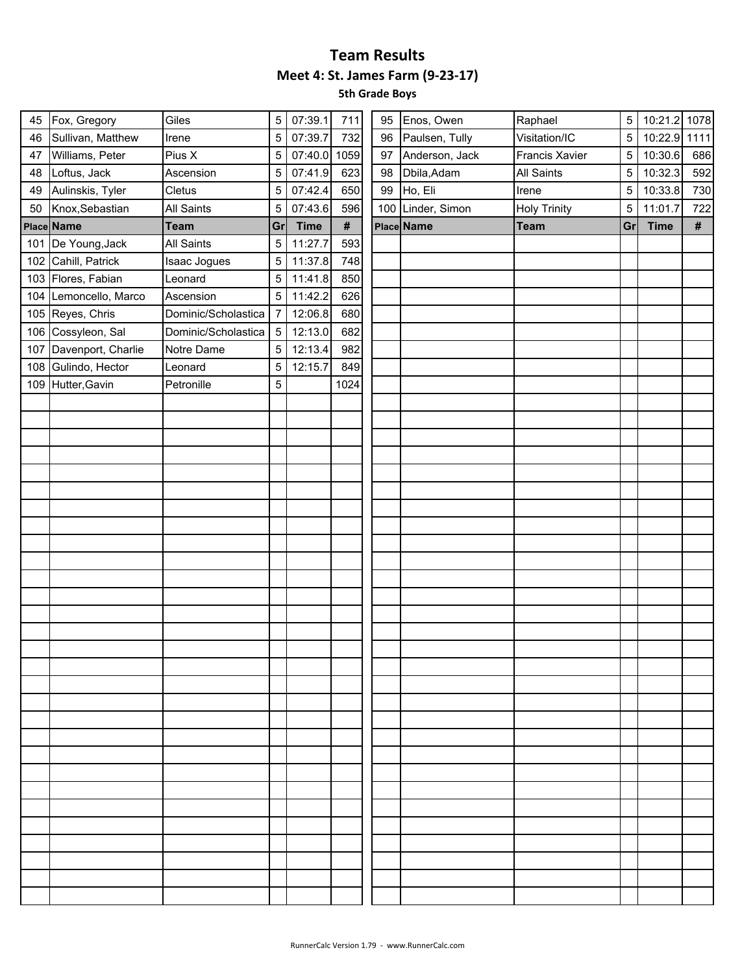| 45  | Fox, Gregory          | Giles               | 5              | 07:39.1     | 711  | 95 | Enos, Owen        | Raphael             | $\sqrt{5}$     | 10:21.2 1078 |     |
|-----|-----------------------|---------------------|----------------|-------------|------|----|-------------------|---------------------|----------------|--------------|-----|
| 46  | Sullivan, Matthew     | Irene               | 5              | 07:39.7     | 732  | 96 | Paulsen, Tully    | Visitation/IC       | $\overline{5}$ | 10:22.9 1111 |     |
| 47  | Williams, Peter       | Pius X              | 5              | 07:40.0     | 1059 | 97 | Anderson, Jack    | Francis Xavier      | 5              | 10:30.6      | 686 |
| 48  | Loftus, Jack          | Ascension           | 5              | 07:41.9     | 623  | 98 | Dbila, Adam       | <b>All Saints</b>   | 5              | 10:32.3      | 592 |
| 49  | Aulinskis, Tyler      | Cletus              | 5              | 07:42.4     | 650  | 99 | Ho, Eli           | Irene               | 5              | 10:33.8      | 730 |
| 50  | Knox, Sebastian       | All Saints          | 5              | 07:43.6     | 596  |    | 100 Linder, Simon | <b>Holy Trinity</b> | 5              | 11:01.7      | 722 |
|     | Place Name            | <b>Team</b>         | Gr             | <b>Time</b> | $\#$ |    | Place Name        | <b>Team</b>         | Gr             | <b>Time</b>  | #   |
|     | 101 De Young, Jack    | <b>All Saints</b>   | 5              | 11:27.7     | 593  |    |                   |                     |                |              |     |
|     | 102 Cahill, Patrick   | Isaac Jogues        | 5              | 11:37.8     | 748  |    |                   |                     |                |              |     |
|     | 103 Flores, Fabian    | Leonard             | 5              | 11:41.8     | 850  |    |                   |                     |                |              |     |
|     | 104 Lemoncello, Marco | Ascension           | 5              | 11:42.2     | 626  |    |                   |                     |                |              |     |
|     | 105 Reyes, Chris      | Dominic/Scholastica | $\overline{7}$ | 12:06.8     | 680  |    |                   |                     |                |              |     |
|     | 106 Cossyleon, Sal    | Dominic/Scholastica | 5              | 12:13.0     | 682  |    |                   |                     |                |              |     |
| 107 | Davenport, Charlie    | Notre Dame          | 5              | 12:13.4     | 982  |    |                   |                     |                |              |     |
|     | 108 Gulindo, Hector   | Leonard             | 5              | 12:15.7     | 849  |    |                   |                     |                |              |     |
|     | 109 Hutter, Gavin     | Petronille          | 5              |             | 1024 |    |                   |                     |                |              |     |
|     |                       |                     |                |             |      |    |                   |                     |                |              |     |
|     |                       |                     |                |             |      |    |                   |                     |                |              |     |
|     |                       |                     |                |             |      |    |                   |                     |                |              |     |
|     |                       |                     |                |             |      |    |                   |                     |                |              |     |
|     |                       |                     |                |             |      |    |                   |                     |                |              |     |
|     |                       |                     |                |             |      |    |                   |                     |                |              |     |
|     |                       |                     |                |             |      |    |                   |                     |                |              |     |
|     |                       |                     |                |             |      |    |                   |                     |                |              |     |
|     |                       |                     |                |             |      |    |                   |                     |                |              |     |
|     |                       |                     |                |             |      |    |                   |                     |                |              |     |
|     |                       |                     |                |             |      |    |                   |                     |                |              |     |
|     |                       |                     |                |             |      |    |                   |                     |                |              |     |
|     |                       |                     |                |             |      |    |                   |                     |                |              |     |
|     |                       |                     |                |             |      |    |                   |                     |                |              |     |
|     |                       |                     |                |             |      |    |                   |                     |                |              |     |
|     |                       |                     |                |             |      |    |                   |                     |                |              |     |
|     |                       |                     |                |             |      |    |                   |                     |                |              |     |
|     |                       |                     |                |             |      |    |                   |                     |                |              |     |
|     |                       |                     |                |             |      |    |                   |                     |                |              |     |
|     |                       |                     |                |             |      |    |                   |                     |                |              |     |
|     |                       |                     |                |             |      |    |                   |                     |                |              |     |
|     |                       |                     |                |             |      |    |                   |                     |                |              |     |
|     |                       |                     |                |             |      |    |                   |                     |                |              |     |
|     |                       |                     |                |             |      |    |                   |                     |                |              |     |
|     |                       |                     |                |             |      |    |                   |                     |                |              |     |
|     |                       |                     |                |             |      |    |                   |                     |                |              |     |
|     |                       |                     |                |             |      |    |                   |                     |                |              |     |
|     |                       |                     |                |             |      |    |                   |                     |                |              |     |
|     |                       |                     |                |             |      |    |                   |                     |                |              |     |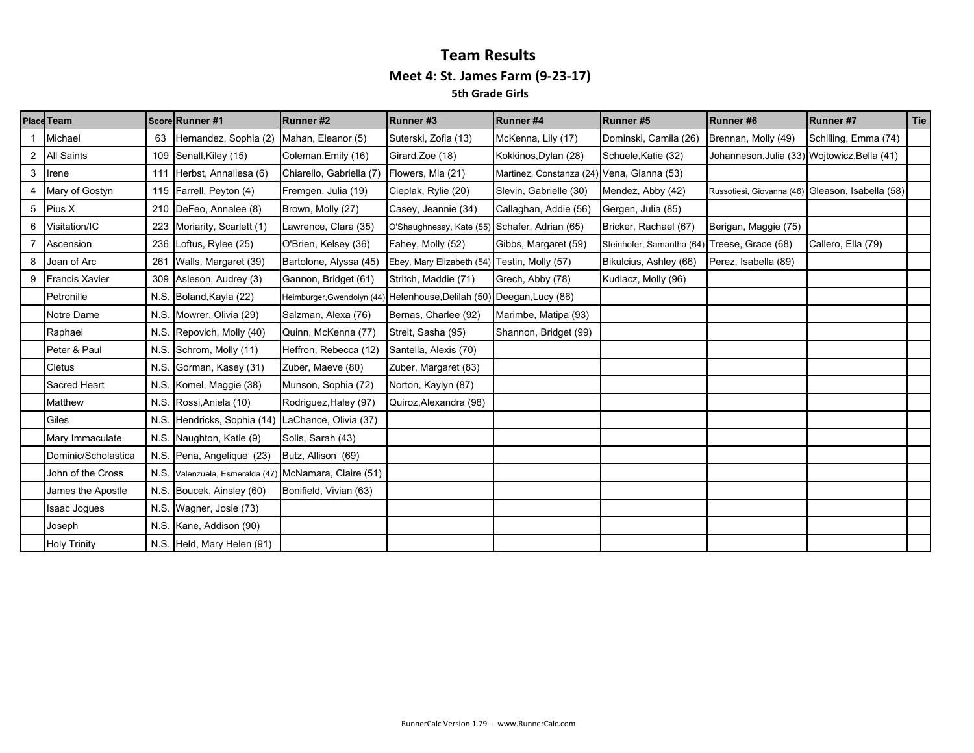### **Team Results Meet 4: St. James Farm (9‐23‐17) 5th Grade Girls**

|   | Place Team            |     | <b>Score Runner #1</b>          | Runner#2                   | Runner#3                 | Runner #4                                  | Runner#5                  | Runner#6                                     | Runner #7              | Tie |
|---|-----------------------|-----|---------------------------------|----------------------------|--------------------------|--------------------------------------------|---------------------------|----------------------------------------------|------------------------|-----|
|   | Michael               | 63  | Hernandez, Sophia (2)           | Mahan, Eleanor (5)         | Suterski, Zofia (13)     | McKenna, Lily (17)                         | Dominski, Camila (26)     | Brennan, Molly (49)                          | Schilling, Emma (74)   |     |
|   | 2 All Saints          |     | 109 Senall, Kiley (15)          | Coleman, Emily (16)        | Girard, Zoe (18)         | Kokkinos, Dylan (28)                       | Schuele, Katie (32)       | Johanneson, Julia (33) Wojtowicz, Bella (41) |                        |     |
| 3 | Irene                 |     | 111 Herbst, Annaliesa (6)       | Chiarello, Gabriella (7)   | Flowers, Mia (21)        | Martinez, Constanza (24) Vena, Gianna (53) |                           |                                              |                        |     |
|   | 4 Mary of Gostyn      |     | 115 Farrell, Peyton (4)         | Fremgen, Julia (19)        | Cieplak, Rylie (20)      | Slevin, Gabrielle (30)                     | Mendez, Abby (42)         | Russotiesi, Giovanna (46)                    | Gleason, Isabella (58) |     |
| 5 | Pius X                |     | 210 DeFeo, Annalee (8)          | Brown, Molly (27)          | Casey, Jeannie (34)      | Callaghan, Addie (56)                      | Gergen, Julia (85)        |                                              |                        |     |
|   | 6 Visitation/IC       | 223 | Moriarity, Scarlett (1)         | Lawrence, Clara (35)       | O'Shaughnessy, Kate (55  | Schafer, Adrian (65)                       | Bricker, Rachael (67)     | Berigan, Maggie (75)                         |                        |     |
|   | Ascension             | 236 | Loftus, Rylee (25)              | O'Brien, Kelsey (36)       | Fahey, Molly (52)        | Gibbs, Margaret (59)                       | Steinhofer, Samantha (64) | Treese, Grace (68)                           | Callero, Ella (79)     |     |
|   | 8 Joan of Arc         | 261 | Walls, Margaret (39)            | Bartolone, Alyssa (45)     | Ebey, Mary Elizabeth (54 | Testin, Molly (57)                         | Bikulcius, Ashley (66)    | Perez, Isabella (89)                         |                        |     |
| 9 | <b>Francis Xavier</b> |     | 309 Asleson, Audrey (3)         | Gannon, Bridget (61)       | Stritch, Maddie (71)     | Grech, Abby (78)                           | Kudlacz, Molly (96)       |                                              |                        |     |
|   | Petronille            |     | N.S. Boland, Kayla (22)         | Heimburger, Gwendolyn (44) | Helenhouse, Delilah (50  | Deegan, Lucy (86)                          |                           |                                              |                        |     |
|   | Notre Dame            |     | N.S. Mowrer, Olivia (29)        | Salzman, Alexa (76)        | Bernas, Charlee (92)     | Marimbe, Matipa (93)                       |                           |                                              |                        |     |
|   | Raphael               |     | N.S. Repovich, Molly (40)       | Quinn, McKenna (77)        | Streit, Sasha (95)       | Shannon, Bridget (99)                      |                           |                                              |                        |     |
|   | Peter & Paul          |     | N.S. Schrom, Molly (11)         | Heffron, Rebecca (12)      | Santella, Alexis (70)    |                                            |                           |                                              |                        |     |
|   | Cletus                |     | N.S. Gorman, Kasey (31)         | Zuber, Maeve (80)          | Zuber, Margaret (83)     |                                            |                           |                                              |                        |     |
|   | Sacred Heart          |     | N.S. Komel, Maggie (38)         | Munson, Sophia (72)        | Norton, Kaylyn (87)      |                                            |                           |                                              |                        |     |
|   | Matthew               |     | N.S. Rossi, Aniela (10)         | Rodriguez, Haley (97)      | Quiroz, Alexandra (98)   |                                            |                           |                                              |                        |     |
|   | Giles                 |     | N.S. Hendricks, Sophia (14)     | LaChance, Olivia (37)      |                          |                                            |                           |                                              |                        |     |
|   | Mary Immaculate       |     | N.S. Naughton, Katie (9)        | Solis, Sarah (43)          |                          |                                            |                           |                                              |                        |     |
|   | Dominic/Scholastica   |     | N.S. Pena, Angelique (23)       | Butz, Allison (69)         |                          |                                            |                           |                                              |                        |     |
|   | John of the Cross     |     | N.S. Valenzuela, Esmeralda (47) | McNamara, Claire (51)      |                          |                                            |                           |                                              |                        |     |
|   | James the Apostle     |     | N.S. Boucek, Ainsley (60)       | Bonifield, Vivian (63)     |                          |                                            |                           |                                              |                        |     |
|   | Isaac Jogues          |     | N.S. Wagner, Josie (73)         |                            |                          |                                            |                           |                                              |                        |     |
|   | Joseph                |     | N.S. Kane, Addison (90)         |                            |                          |                                            |                           |                                              |                        |     |
|   | <b>Holy Trinity</b>   |     | N.S. Held, Mary Helen (91)      |                            |                          |                                            |                           |                                              |                        |     |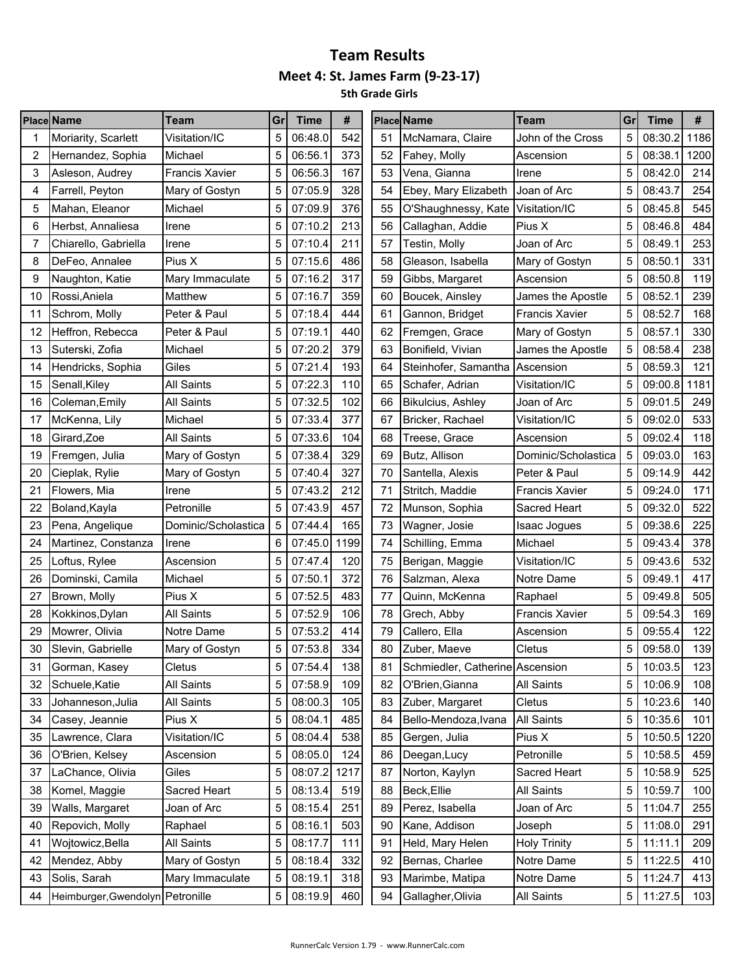**5th Grade Girls**

|    | <b>Place Name</b>                | <b>Team</b>           | Gr | <b>Time</b> | #    |    | <b>Place Name</b>               | <b>Team</b>           | Gr | <b>Time</b> | #    |
|----|----------------------------------|-----------------------|----|-------------|------|----|---------------------------------|-----------------------|----|-------------|------|
|    | Moriarity, Scarlett              | Visitation/IC         | 5  | 06:48.0     | 542  | 51 | McNamara, Claire                | John of the Cross     | 5  | 08:30.2     | 1186 |
| 2  | Hernandez, Sophia                | Michael               | 5  | 06:56.1     | 373  | 52 | Fahey, Molly                    | Ascension             | 5  | 08:38.1     | 1200 |
| 3  | Asleson, Audrey                  | <b>Francis Xavier</b> | 5  | 06:56.3     | 167  | 53 | Vena, Gianna                    | Irene                 | 5  | 08:42.0     | 214  |
| 4  | Farrell, Peyton                  | Mary of Gostyn        | 5  | 07:05.9     | 328  | 54 | Ebey, Mary Elizabeth            | Joan of Arc           | 5  | 08:43.7     | 254  |
| 5  | Mahan, Eleanor                   | Michael               | 5  | 07:09.9     | 376  | 55 | O'Shaughnessy, Kate             | Visitation/IC         | 5  | 08:45.8     | 545  |
| 6  | Herbst, Annaliesa                | Irene                 | 5  | 07:10.2     | 213  | 56 | Callaghan, Addie                | Pius X                | 5  | 08:46.8     | 484  |
| 7  | Chiarello, Gabriella             | Irene                 | 5  | 07:10.4     | 211  | 57 | Testin, Molly                   | Joan of Arc           | 5  | 08:49.1     | 253  |
| 8  | DeFeo, Annalee                   | Pius X                | 5  | 07:15.6     | 486  | 58 | Gleason, Isabella               | Mary of Gostyn        | 5  | 08:50.1     | 331  |
| 9  | Naughton, Katie                  | Mary Immaculate       | 5  | 07:16.2     | 317  | 59 | Gibbs, Margaret                 | Ascension             | 5  | 08:50.8     | 119  |
| 10 | Rossi, Aniela                    | Matthew               | 5  | 07:16.7     | 359  | 60 | Boucek, Ainsley                 | James the Apostle     | 5  | 08:52.1     | 239  |
| 11 | Schrom, Molly                    | Peter & Paul          | 5  | 07:18.4     | 444  | 61 | Gannon, Bridget                 | <b>Francis Xavier</b> | 5  | 08:52.7     | 168  |
| 12 | Heffron, Rebecca                 | Peter & Paul          | 5  | 07:19.1     | 440  | 62 | Fremgen, Grace                  | Mary of Gostyn        | 5  | 08:57.1     | 330  |
| 13 | Suterski, Zofia                  | Michael               | 5  | 07:20.2     | 379  | 63 | Bonifield, Vivian               | James the Apostle     | 5  | 08:58.4     | 238  |
| 14 | Hendricks, Sophia                | Giles                 | 5  | 07:21.4     | 193  | 64 | Steinhofer, Samantha            | Ascension             | 5  | 08:59.3     | 121  |
| 15 | Senall, Kiley                    | <b>All Saints</b>     | 5  | 07:22.3     | 110  | 65 | Schafer, Adrian                 | Visitation/IC         | 5  | 09:00.8     | 1181 |
| 16 | Coleman, Emily                   | <b>All Saints</b>     | 5  | 07:32.5     | 102  | 66 | <b>Bikulcius, Ashley</b>        | Joan of Arc           | 5  | 09:01.5     | 249  |
| 17 | McKenna, Lily                    | Michael               | 5  | 07:33.4     | 377  | 67 | Bricker, Rachael                | Visitation/IC         | 5  | 09:02.0     | 533  |
| 18 | Girard, Zoe                      | <b>All Saints</b>     | 5  | 07:33.6     | 104  | 68 | Treese, Grace                   | Ascension             | 5  | 09:02.4     | 118  |
| 19 | Fremgen, Julia                   | Mary of Gostyn        | 5  | 07:38.4     | 329  | 69 | Butz, Allison                   | Dominic/Scholastica   | 5  | 09:03.0     | 163  |
| 20 | Cieplak, Rylie                   | Mary of Gostyn        | 5  | 07:40.4     | 327  | 70 | Santella, Alexis                | Peter & Paul          | 5  | 09:14.9     | 442  |
| 21 | Flowers, Mia                     | Irene                 | 5  | 07:43.2     | 212  | 71 | Stritch, Maddie                 | <b>Francis Xavier</b> | 5  | 09:24.0     | 171  |
| 22 | Boland, Kayla                    | Petronille            | 5  | 07:43.9     | 457  | 72 | Munson, Sophia                  | Sacred Heart          | 5  | 09:32.0     | 522  |
| 23 | Pena, Angelique                  | Dominic/Scholastica   | 5  | 07:44.4     | 165  | 73 | Wagner, Josie                   | <b>Isaac Jogues</b>   | 5  | 09:38.6     | 225  |
| 24 | Martinez, Constanza              | Irene                 | 6  | 07:45.0     | 1199 | 74 | Schilling, Emma                 | Michael               | 5  | 09:43.4     | 378  |
| 25 | Loftus, Rylee                    | Ascension             | 5  | 07:47.4     | 120  | 75 | Berigan, Maggie                 | Visitation/IC         | 5  | 09:43.6     | 532  |
| 26 | Dominski, Camila                 | Michael               | 5  | 07:50.1     | 372  | 76 | Salzman, Alexa                  | Notre Dame            | 5  | 09:49.1     | 417  |
| 27 | Brown, Molly                     | Pius X                | 5  | 07:52.5     | 483  | 77 | Quinn, McKenna                  | Raphael               | 5  | 09:49.8     | 505  |
| 28 | Kokkinos, Dylan                  | <b>All Saints</b>     | 5  | 07:52.9     | 106  | 78 | Grech, Abby                     | <b>Francis Xavier</b> | 5  | 09:54.3     | 169  |
| 29 | Mowrer, Olivia                   | Notre Dame            | 5  | 07:53.2     | 414  | 79 | Callero, Ella                   | Ascension             | 5  | 09:55.4     | 122  |
| 30 | Slevin, Gabrielle                | Mary of Gostyn        | 5  | 07:53.8     | 334  | 80 | Zuber, Maeve                    | Cletus                | 5  | 09:58.0     | 139  |
| 31 | Gorman, Kasey                    | Cletus                | 5  | 07:54.4     | 138  | 81 | Schmiedler, Catherine Ascension |                       | 5  | 10:03.5     | 123  |
| 32 | Schuele, Katie                   | All Saints            | 5  | 07:58.9     | 109  | 82 | O'Brien, Gianna                 | All Saints            | 5  | 10:06.9     | 108  |
| 33 | Johanneson, Julia                | All Saints            | 5  | 08:00.3     | 105  | 83 | Zuber, Margaret                 | Cletus                | 5  | 10:23.6     | 140  |
| 34 | Casey, Jeannie                   | Pius X                | 5  | 08:04.1     | 485  | 84 | Bello-Mendoza, Ivana            | <b>All Saints</b>     | 5  | 10:35.6     | 101  |
| 35 | Lawrence, Clara                  | Visitation/IC         | 5  | 08:04.4     | 538  | 85 | Gergen, Julia                   | Pius X                | 5  | 10:50.5     | 1220 |
| 36 | O'Brien, Kelsey                  | Ascension             | 5  | 08:05.0     | 124  | 86 | Deegan, Lucy                    | Petronille            | 5  | 10:58.5     | 459  |
| 37 | LaChance, Olivia                 | Giles                 | 5  | 08:07.2     | 1217 | 87 | Norton, Kaylyn                  | Sacred Heart          | 5  | 10:58.9     | 525  |
| 38 | Komel, Maggie                    | Sacred Heart          | 5  | 08:13.4     | 519  | 88 | Beck, Ellie                     | <b>All Saints</b>     | 5  | 10:59.7     | 100  |
| 39 | Walls, Margaret                  | Joan of Arc           | 5  | 08:15.4     | 251  | 89 | Perez, Isabella                 | Joan of Arc           | 5  | 11:04.7     | 255  |
| 40 | Repovich, Molly                  | Raphael               | 5  | 08:16.1     | 503  | 90 | Kane, Addison                   | Joseph                | 5  | 11:08.0     | 291  |
| 41 | Wojtowicz, Bella                 | All Saints            | 5  | 08:17.7     | 111  | 91 | Held, Mary Helen                | <b>Holy Trinity</b>   | 5  | 11:11.1     | 209  |
| 42 | Mendez, Abby                     | Mary of Gostyn        | 5  | 08:18.4     | 332  | 92 | Bernas, Charlee                 | Notre Dame            | 5  | 11:22.5     | 410  |
| 43 | Solis, Sarah                     | Mary Immaculate       | 5  | 08:19.1     | 318  | 93 | Marimbe, Matipa                 | Notre Dame            | 5  | 11:24.7     | 413  |
| 44 | Heimburger, Gwendolyn Petronille |                       | 5  | 08:19.9     | 460  | 94 | Gallagher, Olivia               | <b>All Saints</b>     | 5  | 11:27.5     | 103  |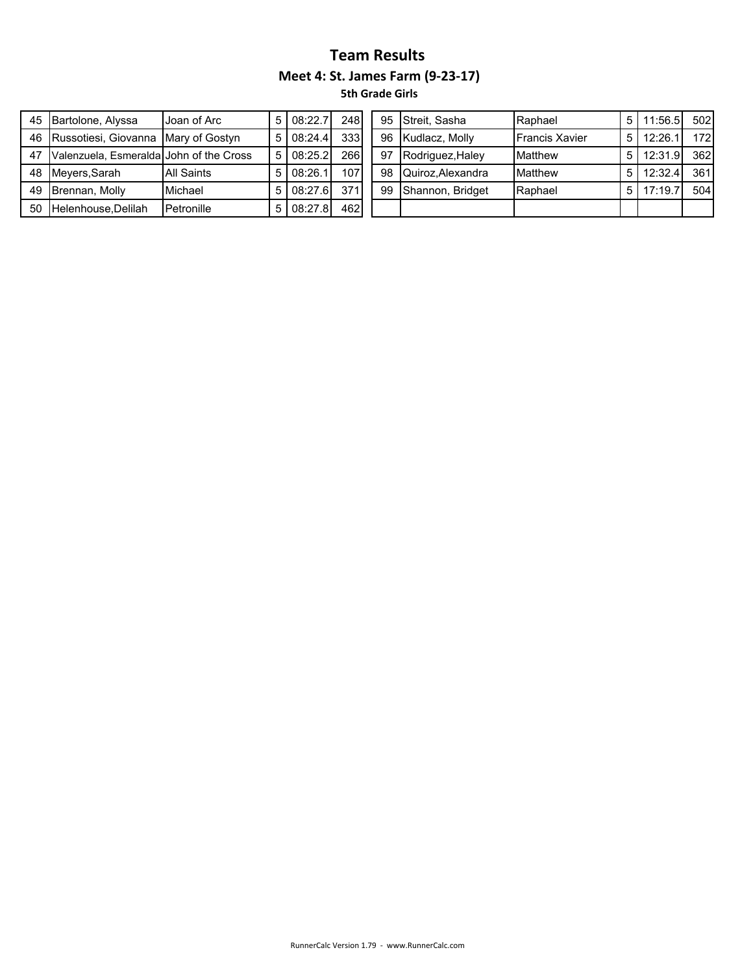| 45 | Bartolone, Alyssa                       | Joan of Arc       |   | 08:22.7 | 248 |
|----|-----------------------------------------|-------------------|---|---------|-----|
| 46 | Russotiesi, Giovanna Mary of Gostyn     |                   | 5 | 08:24.4 | 333 |
| 47 | Valenzuela, Esmeralda John of the Cross |                   |   | 08:25.2 | 266 |
| 48 | Meyers, Sarah                           | <b>All Saints</b> |   | 08:26.1 | 107 |
| 49 | Brennan, Molly                          | Michael           |   | 08:27.6 | 371 |
| 50 | Helenhouse, Delilah                     | Petronille        |   | 08:27.8 | 462 |

| 45 Bartolone, Alyssa                       | Joan of Arc | 5 I | 08:22.7 | 248 |    | 95 Streit, Sasha | Raphael               | 5 11:56.5        | 502 |
|--------------------------------------------|-------------|-----|---------|-----|----|------------------|-----------------------|------------------|-----|
| 46 Russotiesi, Giovanna Mary of Gostyn     |             | 5 I | 08:24.4 | 333 | 96 | Kudlacz, Molly   | <b>Francis Xavier</b> | $5 \mid 12:26.1$ | 172 |
| 47 Valenzuela, Esmeralda John of the Cross |             | 5 I | 08:25.2 | 266 | 97 | Rodriguez, Haley | Matthew               | 5 12:31.9        | 362 |
| 48 Meyers, Sarah                           | All Saints  | 5 I | 08:26.1 | 107 | 98 | Quiroz.Alexandra | Matthew               | $5$   12:32.4    | 361 |
| 49 Brennan, Molly                          | Michael     | 5 I | 08:27.6 | 371 | 99 | Shannon, Bridget | Raphael               | $5$ 17:19.7      | 504 |
| 50 Helenhouse, Delilah                     | Petronille  | 5 I | 08:27.8 | 462 |    |                  |                       |                  |     |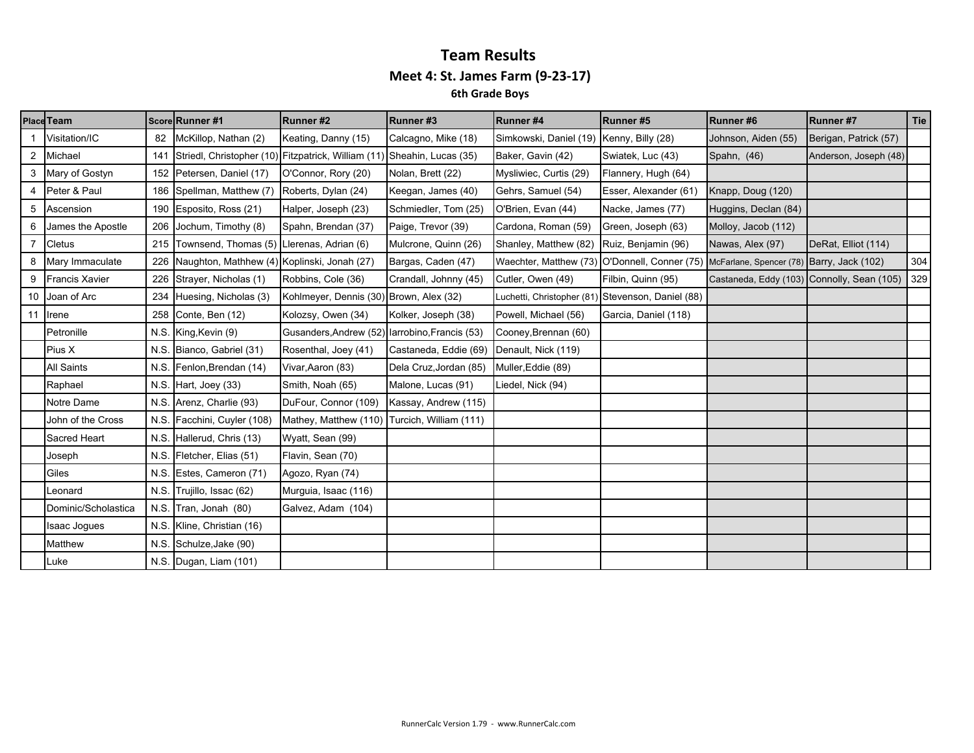|                | Place Team            |      | Score Runner #1                             | Runner#2                                                                | Runner#3               | Runner#4                                      | Runner#5                                          | Runner#6                                   | Runner #7             | Tie |
|----------------|-----------------------|------|---------------------------------------------|-------------------------------------------------------------------------|------------------------|-----------------------------------------------|---------------------------------------------------|--------------------------------------------|-----------------------|-----|
|                | Visitation/IC         | 82   | McKillop, Nathan (2)                        | Keating, Danny (15)                                                     | Calcagno, Mike (18)    | Simkowski, Daniel (19)                        | Kenny, Billy (28)                                 | Johnson, Aiden (55)                        | Berigan, Patrick (57) |     |
| 2              | Michael               | 141  |                                             | Striedl, Christopher (10) Fitzpatrick, William (11) Sheahin, Lucas (35) |                        | Baker, Gavin (42)                             | Swiatek, Luc (43)                                 | Spahn, (46)                                | Anderson, Joseph (48) |     |
|                | Mary of Gostyn        | 152  | Petersen, Daniel (17)                       | O'Connor, Rory (20)                                                     | Nolan, Brett (22)      | Mysliwiec, Curtis (29)                        | Flannery, Hugh (64)                               |                                            |                       |     |
| 4              | Peter & Paul          |      | 186 Spellman, Matthew (7)                   | Roberts, Dylan (24)                                                     | Keegan, James (40)     | Gehrs, Samuel (54)                            | Esser, Alexander (61)                             | Knapp, Doug (120)                          |                       |     |
| 5              | Ascension             | 190  | Esposito, Ross (21)                         | Halper, Joseph (23)                                                     | Schmiedler, Tom (25)   | O'Brien, Evan (44)                            | Nacke, James (77)                                 | Huggins, Declan (84)                       |                       |     |
| 6              | James the Apostle     | 206  | Jochum, Timothy (8)                         | Spahn, Brendan (37)                                                     | Paige, Trevor (39)     | Cardona, Roman (59)                           | Green, Joseph (63)                                | Molloy, Jacob (112)                        |                       |     |
| $\overline{7}$ | <b>Cletus</b>         | 215  | Townsend, Thomas (5) Llerenas, Adrian (6)   |                                                                         | Mulcrone, Quinn (26)   | Shanley, Matthew (82)                         | Ruiz, Benjamin (96)                               | Nawas, Alex (97)                           | DeRat, Elliot (114)   |     |
| 8              | Mary Immaculate       | 226  | Naughton, Mathhew (4) Koplinski, Jonah (27) |                                                                         | Bargas, Caden (47)     | Waechter, Matthew (73) O'Donnell, Conner (75) |                                                   | McFarlane, Spencer (78) Barry, Jack (102)  |                       | 304 |
| 9              | <b>Francis Xavier</b> | 226  | Strayer, Nicholas (1)                       | Robbins, Cole (36)                                                      | Crandall, Johnny (45)  | Cutler, Owen (49)                             | Filbin, Quinn (95)                                | Castaneda, Eddy (103) Connolly, Sean (105) |                       | 329 |
| 10             | Joan of Arc           | 234  | Huesing, Nicholas (3)                       | Kohlmeyer, Dennis (30) Brown, Alex (32)                                 |                        |                                               | Luchetti, Christopher (81) Stevenson, Daniel (88) |                                            |                       |     |
| 11             | Irene                 | 258  | Conte, Ben (12)                             | Kolozsy, Owen (34)                                                      | Kolker, Joseph (38)    | Powell, Michael (56)                          | Garcia, Daniel (118)                              |                                            |                       |     |
|                | Petronille            | N.S. | King, Kevin (9)                             | Gusanders, Andrew (52) larrobino, Francis (53)                          |                        | Cooney, Brennan (60)                          |                                                   |                                            |                       |     |
|                | Pius X                | N.S. | Bianco, Gabriel (31)                        | Rosenthal, Joey (41)                                                    | Castaneda, Eddie (69)  | Denault, Nick (119)                           |                                                   |                                            |                       |     |
|                | <b>All Saints</b>     | N.S. | Fenlon, Brendan (14)                        | Vivar, Aaron (83)                                                       | Dela Cruz, Jordan (85) | Muller, Eddie (89)                            |                                                   |                                            |                       |     |
|                | Raphael               | N.S. | Hart, Joey (33)                             | Smith, Noah (65)                                                        | Malone, Lucas (91)     | Liedel, Nick (94)                             |                                                   |                                            |                       |     |
|                | Notre Dame            | N.S. | Arenz, Charlie (93)                         | DuFour, Connor (109)                                                    | Kassay, Andrew (115)   |                                               |                                                   |                                            |                       |     |
|                | John of the Cross     | N.S. | Facchini, Cuyler (108)                      | Mathey, Matthew (110) Turcich, William (111)                            |                        |                                               |                                                   |                                            |                       |     |
|                | Sacred Heart          | N.S. | Hallerud, Chris (13)                        | Wyatt, Sean (99)                                                        |                        |                                               |                                                   |                                            |                       |     |
|                | Joseph                | N.S. | Fletcher, Elias (51)                        | Flavin, Sean (70)                                                       |                        |                                               |                                                   |                                            |                       |     |
|                | Giles                 | N.S. | Estes, Cameron (71)                         | Agozo, Ryan (74)                                                        |                        |                                               |                                                   |                                            |                       |     |
|                | Leonard               | N.S. | Trujillo, Issac (62)                        | Murguia, Isaac (116)                                                    |                        |                                               |                                                   |                                            |                       |     |
|                | Dominic/Scholastica   | N.S. | Tran, Jonah (80)                            | Galvez, Adam (104)                                                      |                        |                                               |                                                   |                                            |                       |     |
|                | Isaac Jogues          | N.S. | Kline, Christian (16)                       |                                                                         |                        |                                               |                                                   |                                            |                       |     |
|                | Matthew               | N.S. | Schulze, Jake (90)                          |                                                                         |                        |                                               |                                                   |                                            |                       |     |
|                | Luke                  |      | N.S. Dugan, Liam (101)                      |                                                                         |                        |                                               |                                                   |                                            |                       |     |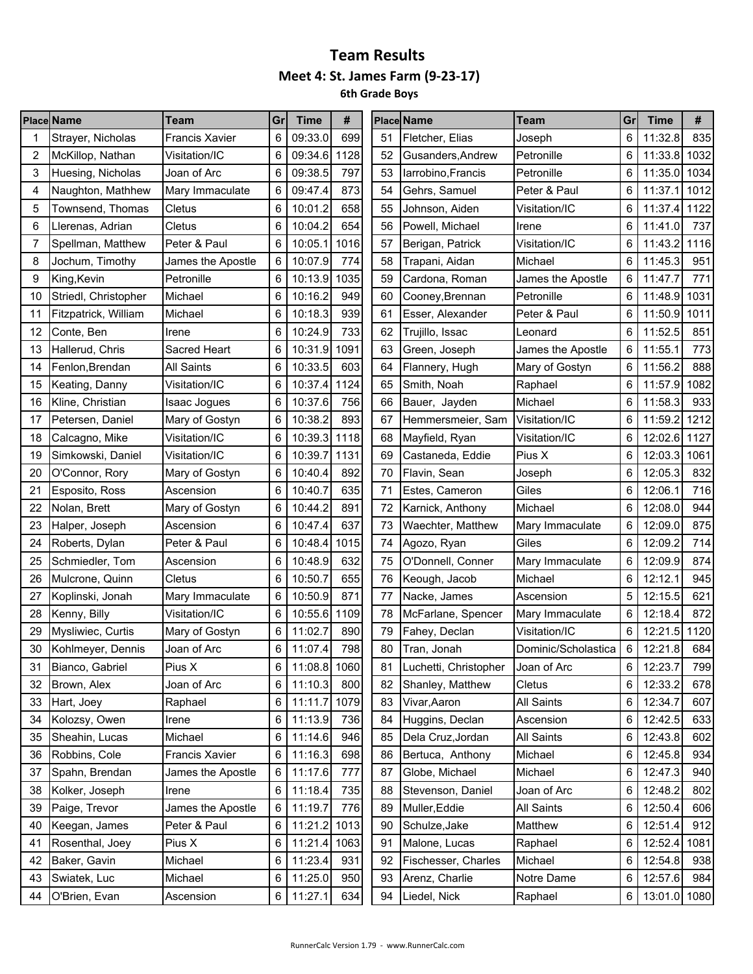|    | <b>Place Name</b>    | <b>Team</b>           | Grl | <b>Time</b>  | #    |    | <b>Place Name</b>                 | <b>Team</b>         | Gr    | <b>Time</b>  | #    |
|----|----------------------|-----------------------|-----|--------------|------|----|-----------------------------------|---------------------|-------|--------------|------|
|    | Strayer, Nicholas    | <b>Francis Xavier</b> | 6   | 09:33.0      | 699  | 51 | Fletcher, Elias                   | Joseph              | 6     | 11:32.8      | 835  |
| 2  | McKillop, Nathan     | Visitation/IC         | 6   | 09:34.6      | 1128 | 52 | Gusanders, Andrew                 | Petronille          | 6     | 11:33.8      | 1032 |
| 3  | Huesing, Nicholas    | Joan of Arc           | 6   | 09:38.5      | 797  | 53 | larrobino, Francis                | Petronille          | 6     | 11:35.0 1034 |      |
| 4  | Naughton, Mathhew    | Mary Immaculate       | 6   | 09:47.4      | 873  | 54 | Gehrs, Samuel                     | Peter & Paul        | 6     | 11:37.1      | 1012 |
| 5  | Townsend, Thomas     | Cletus                | 6   | 10:01.2      | 658  | 55 | Johnson, Aiden                    | Visitation/IC       | 6     | 11:37.4      | 1122 |
| 6  | Llerenas, Adrian     | Cletus                | 6   | 10:04.2      | 654  | 56 | Powell, Michael                   | Irene               | 6     | 11:41.0      | 737  |
| 7  | Spellman, Matthew    | Peter & Paul          | 6   | 10:05.1      | 1016 | 57 | Berigan, Patrick                  | Visitation/IC       | 6     | 11:43.2      | 1116 |
| 8  | Jochum, Timothy      | James the Apostle     | 6   | 10:07.9      | 774  | 58 | Trapani, Aidan                    | Michael             | 6     | 11:45.3      | 951  |
| 9  | King, Kevin          | Petronille            | 6   | 10:13.9      | 1035 | 59 | Cardona, Roman                    | James the Apostle   | 6     | 11:47.7      | 771  |
| 10 | Striedl, Christopher | Michael               | 6   | 10:16.2      | 949  | 60 | Cooney, Brennan                   | Petronille          | 6     | 11:48.9      | 1031 |
| 11 | Fitzpatrick, William | Michael               | 6   | 10:18.3      | 939  | 61 | Esser, Alexander                  | Peter & Paul        | 6     | 11:50.9      | 1011 |
| 12 | Conte, Ben           | Irene                 | 6   | 10:24.9      | 733  | 62 | Trujillo, Issac                   | Leonard             | 6     | 11:52.5      | 851  |
| 13 | Hallerud, Chris      | Sacred Heart          | 6   | 10:31.9      | 1091 | 63 | Green, Joseph                     | James the Apostle   | 6     | 11:55.1      | 773  |
| 14 | Fenlon, Brendan      | <b>All Saints</b>     | 6   | 10:33.5      | 603  | 64 | Flannery, Hugh                    | Mary of Gostyn      | 6     | 11:56.2      | 888  |
| 15 | Keating, Danny       | Visitation/IC         | 6   | 10:37.4      | 1124 | 65 | Smith, Noah                       | Raphael             | 6     | 11:57.9      | 1082 |
| 16 | Kline, Christian     | Isaac Jogues          | 6   | 10:37.6      | 756  | 66 | Bauer, Jayden                     | Michael             | 6     | 11:58.3      | 933  |
| 17 | Petersen, Daniel     | Mary of Gostyn        | 6   | 10:38.2      | 893  | 67 | Hemmersmeier, Sam                 | Visitation/IC       | 6     | 11:59.2      | 1212 |
| 18 | Calcagno, Mike       | Visitation/IC         | 6   | 10:39.3      | 1118 | 68 | Mayfield, Ryan                    | Visitation/IC       | 6     | 12:02.6 1127 |      |
| 19 | Simkowski, Daniel    | Visitation/IC         | 6   | 10:39.7      | 1131 | 69 | Castaneda, Eddie                  | Pius X              | 6     | 12:03.3      | 1061 |
| 20 | O'Connor, Rory       | Mary of Gostyn        | 6   | 10:40.4      | 892  | 70 | Flavin, Sean                      | Joseph              | 6     | 12:05.3      | 832  |
| 21 | Esposito, Ross       | Ascension             | 6   | 10:40.7      | 635  | 71 | Estes, Cameron                    | Giles               | 6     | 12:06.1      | 716  |
| 22 | Nolan, Brett         | Mary of Gostyn        | 6   | 10:44.2      | 891  | 72 | Karnick, Anthony                  | Michael             | 6     | 12:08.0      | 944  |
| 23 | Halper, Joseph       | Ascension             | 6   | 10:47.4      | 637  | 73 | Waechter, Matthew                 | Mary Immaculate     | 6     | 12:09.0      | 875  |
| 24 | Roberts, Dylan       | Peter & Paul          | 6   | 10:48.4      | 1015 | 74 | Agozo, Ryan                       | Giles               | 6     | 12:09.2      | 714  |
| 25 | Schmiedler, Tom      | Ascension             | 6   | 10:48.9      | 632  | 75 | O'Donnell, Conner                 | Mary Immaculate     | 6     | 12:09.9      | 874  |
| 26 | Mulcrone, Quinn      | Cletus                | 6   | 10:50.7      | 655  | 76 | Keough, Jacob                     | Michael             | 6     | 12:12.1      | 945  |
| 27 | Koplinski, Jonah     | Mary Immaculate       | 6   | 10:50.9      | 871  | 77 | Nacke, James                      | Ascension           | 5     | 12:15.5      | 621  |
| 28 | Kenny, Billy         | Visitation/IC         | 6   | 10:55.6      | 1109 | 78 | McFarlane, Spencer                | Mary Immaculate     | 6     | 12:18.4      | 872  |
| 29 | Mysliwiec, Curtis    | Mary of Gostyn        | 6   | 11:02.7      | 890  | 79 | Fahey, Declan                     | Visitation/IC       | 6     | 12:21.5      | 1120 |
| 30 | Kohlmeyer, Dennis    | Joan of Arc           | 6   | 11:07.4      | 798  | 80 | Tran, Jonah                       | Dominic/Scholastica | 6     | 12:21.8      | 684  |
| 31 | Bianco, Gabriel      | Pius X                | 6   | 11:08.8 1060 |      | 81 | Luchetti, Christopher Joan of Arc |                     | $\,6$ | 12:23.7      | 799  |
| 32 | Brown, Alex          | Joan of Arc           | 6   | 11:10.3      | 800  | 82 | Shanley, Matthew                  | Cletus              | 6     | 12:33.2      | 678  |
| 33 | Hart, Joey           | Raphael               | 6   | 11:11.7 1079 |      | 83 | Vivar, Aaron                      | <b>All Saints</b>   | 6     | 12:34.7      | 607  |
| 34 | Kolozsy, Owen        | Irene                 | 6   | 11:13.9      | 736  | 84 | Huggins, Declan                   | Ascension           | 6     | 12:42.5      | 633  |
| 35 | Sheahin, Lucas       | Michael               | 6   | 11:14.6      | 946  | 85 | Dela Cruz, Jordan                 | <b>All Saints</b>   | 6     | 12:43.8      | 602  |
| 36 | Robbins, Cole        | <b>Francis Xavier</b> | 6   | 11:16.3      | 698  | 86 | Bertuca, Anthony                  | Michael             | 6     | 12:45.8      | 934  |
| 37 | Spahn, Brendan       | James the Apostle     | 6   | 11:17.6      | 777  | 87 | Globe, Michael                    | Michael             | 6     | 12:47.3      | 940  |
| 38 | Kolker, Joseph       | Irene                 | 6   | 11:18.4      | 735  | 88 | Stevenson, Daniel                 | Joan of Arc         | 6     | 12:48.2      | 802  |
| 39 | Paige, Trevor        | James the Apostle     | 6   | 11:19.7      | 776  | 89 | Muller, Eddie                     | <b>All Saints</b>   | 6     | 12:50.4      | 606  |
| 40 | Keegan, James        | Peter & Paul          | 6   | 11:21.2 1013 |      | 90 | Schulze, Jake                     | Matthew             | 6     | 12:51.4      | 912  |
| 41 | Rosenthal, Joey      | Pius X                | 6   | 11:21.4 1063 |      | 91 | Malone, Lucas                     | Raphael             | 6     | 12:52.4      | 1081 |
| 42 | Baker, Gavin         | Michael               | 6   | 11:23.4      | 931  | 92 | Fischesser, Charles               | Michael             | 6     | 12:54.8      | 938  |
| 43 | Swiatek, Luc         | Michael               | 6   | 11:25.0      | 950  | 93 | Arenz, Charlie                    | Notre Dame          | 6     | 12:57.6      | 984  |
| 44 | O'Brien, Evan        | Ascension             | 6   | 11:27.1      | 634  | 94 | Liedel, Nick                      | Raphael             | 6     | 13:01.0 1080 |      |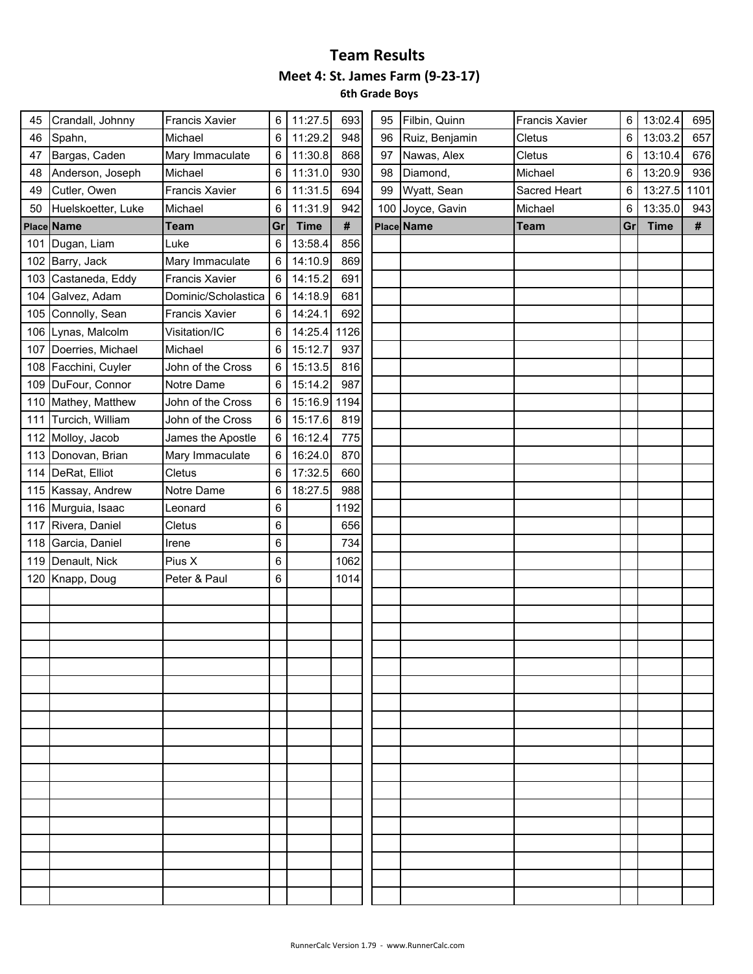| 45  | Crandall, Johnny     | Francis Xavier        | 6  | 11:27.5     | 693  | 95  | Filbin, Quinn  | <b>Francis Xavier</b> | 6  | 13:02.4     | 695  |
|-----|----------------------|-----------------------|----|-------------|------|-----|----------------|-----------------------|----|-------------|------|
| 46  | Spahn,               | Michael               | 6  | 11:29.2     | 948  | 96  | Ruiz, Benjamin | Cletus                | 6  | 13:03.2     | 657  |
| 47  | Bargas, Caden        | Mary Immaculate       | 6  | 11:30.8     | 868  | 97  | Nawas, Alex    | Cletus                | 6  | 13:10.4     | 676  |
| 48  | Anderson, Joseph     | Michael               | 6  | 11:31.0     | 930  | 98  | Diamond,       | Michael               | 6  | 13:20.9     | 936  |
| 49  | Cutler, Owen         | <b>Francis Xavier</b> | 6  | 11:31.5     | 694  | 99  | Wyatt, Sean    | Sacred Heart          | 6  | 13:27.5     | 1101 |
| 50  | Huelskoetter, Luke   | Michael               | 6  | 11:31.9     | 942  | 100 | Joyce, Gavin   | Michael               | 6  | 13:35.0     | 943  |
|     | Place Name           | <b>Team</b>           | Gr | <b>Time</b> | $\#$ |     | Place Name     | <b>Team</b>           | Gr | <b>Time</b> | #    |
| 101 | Dugan, Liam          | Luke                  | 6  | 13:58.4     | 856  |     |                |                       |    |             |      |
|     | 102 Barry, Jack      | Mary Immaculate       | 6  | 14:10.9     | 869  |     |                |                       |    |             |      |
| 103 | Castaneda, Eddy      | <b>Francis Xavier</b> | 6  | 14:15.2     | 691  |     |                |                       |    |             |      |
| 104 | Galvez, Adam         | Dominic/Scholastica   | 6  | 14:18.9     | 681  |     |                |                       |    |             |      |
|     | 105 Connolly, Sean   | <b>Francis Xavier</b> | 6  | 14:24.1     | 692  |     |                |                       |    |             |      |
|     | 106 Lynas, Malcolm   | Visitation/IC         | 6  | 14:25.4     | 1126 |     |                |                       |    |             |      |
| 107 | Doerries, Michael    | Michael               | 6  | 15:12.7     | 937  |     |                |                       |    |             |      |
|     | 108 Facchini, Cuyler | John of the Cross     | 6  | 15:13.5     | 816  |     |                |                       |    |             |      |
| 109 | DuFour, Connor       | Notre Dame            | 6  | 15:14.2     | 987  |     |                |                       |    |             |      |
|     | 110 Mathey, Matthew  | John of the Cross     | 6  | 15:16.9     | 1194 |     |                |                       |    |             |      |
| 111 | Turcich, William     | John of the Cross     | 6  | 15:17.6     | 819  |     |                |                       |    |             |      |
|     | 112 Molloy, Jacob    | James the Apostle     | 6  | 16:12.4     | 775  |     |                |                       |    |             |      |
|     | 113 Donovan, Brian   | Mary Immaculate       | 6  | 16:24.0     | 870  |     |                |                       |    |             |      |
| 114 | DeRat, Elliot        | Cletus                | 6  | 17:32.5     | 660  |     |                |                       |    |             |      |
|     | 115 Kassay, Andrew   | Notre Dame            | 6  | 18:27.5     | 988  |     |                |                       |    |             |      |
| 116 | Murguia, Isaac       | Leonard               | 6  |             | 1192 |     |                |                       |    |             |      |
| 117 | Rivera, Daniel       | Cletus                | 6  |             | 656  |     |                |                       |    |             |      |
| 118 | Garcia, Daniel       | Irene                 | 6  |             | 734  |     |                |                       |    |             |      |
| 119 | Denault, Nick        | Pius X                | 6  |             | 1062 |     |                |                       |    |             |      |
|     | 120 Knapp, Doug      | Peter & Paul          | 6  |             | 1014 |     |                |                       |    |             |      |
|     |                      |                       |    |             |      |     |                |                       |    |             |      |
|     |                      |                       |    |             |      |     |                |                       |    |             |      |
|     |                      |                       |    |             |      |     |                |                       |    |             |      |
|     |                      |                       |    |             |      |     |                |                       |    |             |      |
|     |                      |                       |    |             |      |     |                |                       |    |             |      |
|     |                      |                       |    |             |      |     |                |                       |    |             |      |
|     |                      |                       |    |             |      |     |                |                       |    |             |      |
|     |                      |                       |    |             |      |     |                |                       |    |             |      |
|     |                      |                       |    |             |      |     |                |                       |    |             |      |
|     |                      |                       |    |             |      |     |                |                       |    |             |      |
|     |                      |                       |    |             |      |     |                |                       |    |             |      |
|     |                      |                       |    |             |      |     |                |                       |    |             |      |
|     |                      |                       |    |             |      |     |                |                       |    |             |      |
|     |                      |                       |    |             |      |     |                |                       |    |             |      |
|     |                      |                       |    |             |      |     |                |                       |    |             |      |
|     |                      |                       |    |             |      |     |                |                       |    |             |      |
|     |                      |                       |    |             |      |     |                |                       |    |             |      |
|     |                      |                       |    |             |      |     |                |                       |    |             |      |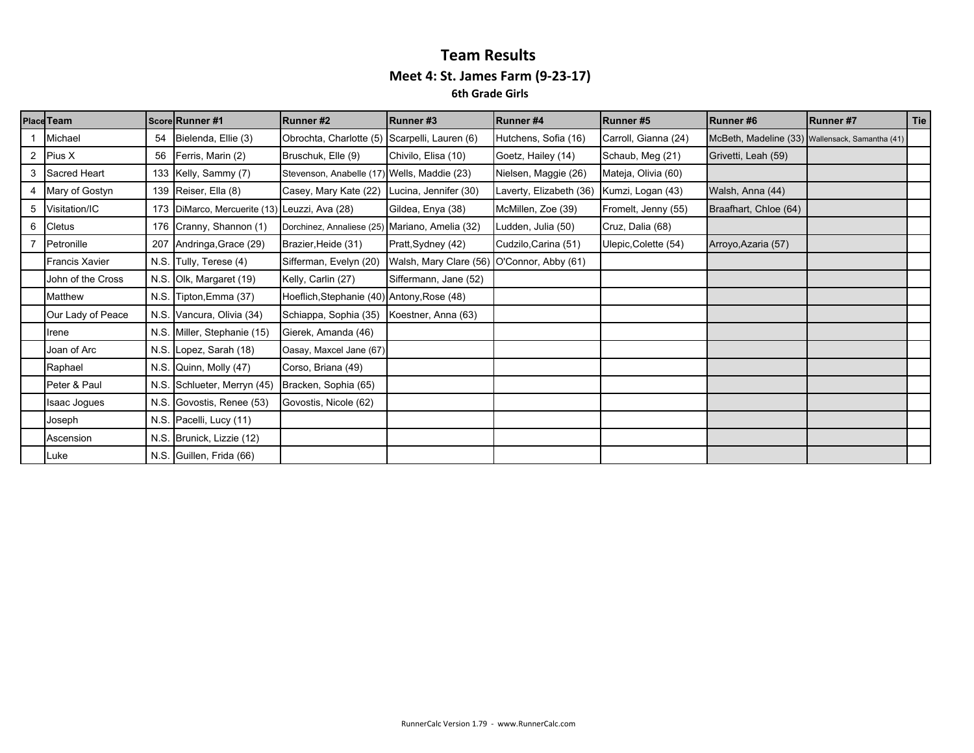### **Team Results Meet 4: St. James Farm (9‐23‐17) 6th Grade Girls**

|   | Place Team            |    | Score Runner #1                               | Runner#2                                       | Runner#3               | Runner#4                | Runner#5             | <b>Runner#6</b>                                 | Runner #7 | Tie |
|---|-----------------------|----|-----------------------------------------------|------------------------------------------------|------------------------|-------------------------|----------------------|-------------------------------------------------|-----------|-----|
|   | Michael               | 54 | Bielenda, Ellie (3)                           | Obrochta, Charlotte (5) Scarpelli, Lauren (6)  |                        | Hutchens, Sofia (16)    | Carroll, Gianna (24) | McBeth, Madeline (33) Wallensack, Samantha (41) |           |     |
|   | 2 Pius X              | 56 | Ferris, Marin (2)                             | Bruschuk, Elle (9)                             | Chivilo, Elisa (10)    | Goetz, Hailey (14)      | Schaub, Meg (21)     | Grivetti, Leah (59)                             |           |     |
|   | 3 Sacred Heart        |    | 133 Kelly, Sammy (7)                          | Stevenson, Anabelle (17) Wells, Maddie (23)    |                        | Nielsen, Maggie (26)    | Mateja, Olivia (60)  |                                                 |           |     |
|   | 4 Mary of Gostyn      |    | 139 Reiser, Ella (8)                          | Casey, Mary Kate (22)                          | Lucina, Jennifer (30)  | Laverty, Elizabeth (36) | Kumzi, Logan (43)    | Walsh, Anna (44)                                |           |     |
|   | 5 Visitation/IC       |    | 173 DiMarco, Mercuerite (13) Leuzzi, Ava (28) |                                                | Gildea, Enya (38)      | McMillen, Zoe (39)      | Fromelt, Jenny (55)  | Braafhart, Chloe (64)                           |           |     |
| 6 | Cletus                |    | 176 Cranny, Shannon (1)                       | Dorchinez, Annaliese (25) Mariano, Amelia (32) |                        | Ludden, Julia (50)      | Cruz, Dalia (68)     |                                                 |           |     |
|   | 7 Petronille          |    | 207 Andringa, Grace (29)                      | Brazier, Heide (31)                            | Pratt, Sydney (42)     | Cudzilo, Carina (51)    | Ulepic, Colette (54) | Arroyo, Azaria (57)                             |           |     |
|   | <b>Francis Xavier</b> |    | N.S. Tully, Terese (4)                        | Sifferman, Evelyn (20)                         | Walsh, Mary Clare (56) | O'Connor, Abby (61)     |                      |                                                 |           |     |
|   | John of the Cross     |    | N.S. Olk, Margaret (19)                       | Kelly, Carlin (27)                             | Siffermann, Jane (52)  |                         |                      |                                                 |           |     |
|   | Matthew               |    | N.S. Tipton, Emma (37)                        | Hoeflich, Stephanie (40) Antony, Rose (48)     |                        |                         |                      |                                                 |           |     |
|   | Our Lady of Peace     |    | N.S. Vancura, Olivia (34)                     | Schiappa, Sophia (35)                          | Koestner, Anna (63)    |                         |                      |                                                 |           |     |
|   | Irene                 |    | N.S. Miller, Stephanie (15)                   | Gierek, Amanda (46)                            |                        |                         |                      |                                                 |           |     |
|   | Joan of Arc           |    | N.S. Lopez, Sarah (18)                        | Oasay, Maxcel Jane (67)                        |                        |                         |                      |                                                 |           |     |
|   | Raphael               |    | N.S. Quinn, Molly (47)                        | Corso, Briana (49)                             |                        |                         |                      |                                                 |           |     |
|   | Peter & Paul          |    | N.S. Schlueter, Merryn (45)                   | Bracken, Sophia (65)                           |                        |                         |                      |                                                 |           |     |
|   | Isaac Jogues          |    | N.S. Govostis, Renee (53)                     | Govostis, Nicole (62)                          |                        |                         |                      |                                                 |           |     |
|   | Joseph                |    | N.S. Pacelli, Lucy (11)                       |                                                |                        |                         |                      |                                                 |           |     |
|   | Ascension             |    | N.S. Brunick, Lizzie (12)                     |                                                |                        |                         |                      |                                                 |           |     |
|   | Luke                  |    | N.S. Guillen, Frida (66)                      |                                                |                        |                         |                      |                                                 |           |     |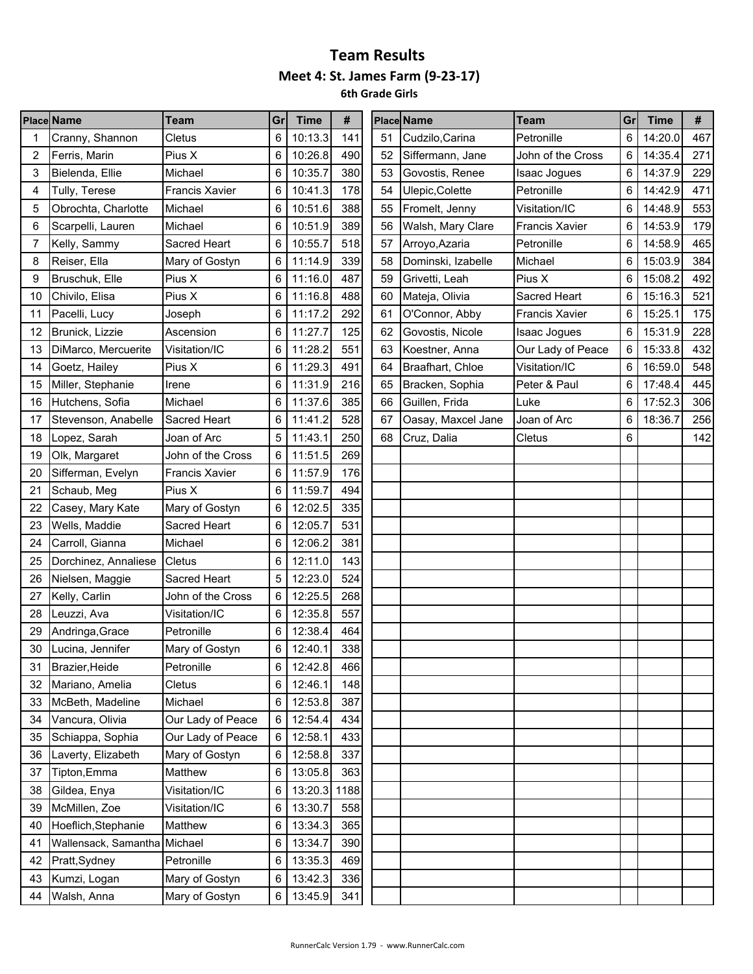|    | <b>Place Name</b>    | <b>Team</b>           | Gr | <b>Time</b>  | #   |    | <b>Place Name</b>  | Team                  | Gr | <b>Time</b> | #   |
|----|----------------------|-----------------------|----|--------------|-----|----|--------------------|-----------------------|----|-------------|-----|
|    | Cranny, Shannon      | Cletus                | 6  | 10:13.3      | 141 | 51 | Cudzilo, Carina    | Petronille            | 6  | 14:20.0     | 467 |
| 2  | Ferris, Marin        | Pius X                | 6  | 10:26.8      | 490 | 52 | Siffermann, Jane   | John of the Cross     | 6  | 14:35.4     | 271 |
| 3  | Bielenda, Ellie      | Michael               | 6  | 10:35.7      | 380 | 53 | Govostis, Renee    | Isaac Jogues          | 6  | 14:37.9     | 229 |
| 4  | Tully, Terese        | <b>Francis Xavier</b> | 6  | 10:41.3      | 178 | 54 | Ulepic, Colette    | Petronille            | 6  | 14:42.9     | 471 |
| 5  | Obrochta, Charlotte  | Michael               | 6  | 10:51.6      | 388 | 55 | Fromelt, Jenny     | Visitation/IC         | 6  | 14:48.9     | 553 |
| 6  | Scarpelli, Lauren    | Michael               | 6  | 10:51.9      | 389 | 56 | Walsh, Mary Clare  | <b>Francis Xavier</b> | 6  | 14:53.9     | 179 |
|    | Kelly, Sammy         | Sacred Heart          | 6  | 10:55.7      | 518 | 57 | Arroyo, Azaria     | Petronille            | 6  | 14:58.9     | 465 |
| 8  | Reiser, Ella         | Mary of Gostyn        | 6  | 11:14.9      | 339 | 58 | Dominski, Izabelle | Michael               | 6  | 15:03.9     | 384 |
| 9  | Bruschuk, Elle       | Pius X                | 6  | 11:16.0      | 487 | 59 | Grivetti, Leah     | Pius X                | 6  | 15:08.2     | 492 |
| 10 | Chivilo, Elisa       | Pius X                | 6  | 11:16.8      | 488 | 60 | Mateja, Olivia     | Sacred Heart          | 6  | 15:16.3     | 521 |
| 11 | Pacelli, Lucy        | Joseph                | 6  | 11:17.2      | 292 | 61 | O'Connor, Abby     | <b>Francis Xavier</b> | 6  | 15:25.1     | 175 |
| 12 | Brunick, Lizzie      | Ascension             | 6  | 11:27.7      | 125 | 62 | Govostis, Nicole   | <b>Isaac Jogues</b>   | 6  | 15:31.9     | 228 |
| 13 | DiMarco, Mercuerite  | Visitation/IC         | 6  | 11:28.2      | 551 | 63 | Koestner, Anna     | Our Lady of Peace     | 6  | 15:33.8     | 432 |
| 14 | Goetz, Hailey        | Pius X                | 6  | 11:29.3      | 491 | 64 | Braafhart, Chloe   | Visitation/IC         | 6  | 16:59.0     | 548 |
| 15 | Miller, Stephanie    | Irene                 | 6  | 11:31.9      | 216 | 65 | Bracken, Sophia    | Peter & Paul          | 6  | 17:48.4     | 445 |
| 16 | Hutchens, Sofia      | Michael               | 6  | 11:37.6      | 385 | 66 | Guillen, Frida     | Luke                  | 6  | 17:52.3     | 306 |
| 17 | Stevenson, Anabelle  | Sacred Heart          | 6  | 11:41.2      | 528 | 67 | Oasay, Maxcel Jane | Joan of Arc           | 6  | 18:36.7     | 256 |
| 18 | Lopez, Sarah         | Joan of Arc           | 5  | 11:43.1      | 250 | 68 | Cruz, Dalia        | Cletus                | 6  |             | 142 |
| 19 | Olk, Margaret        | John of the Cross     | 6  | 11:51.5      | 269 |    |                    |                       |    |             |     |
| 20 | Sifferman, Evelyn    | <b>Francis Xavier</b> | 6  | 11:57.9      | 176 |    |                    |                       |    |             |     |
| 21 | Schaub, Meg          | Pius X                | 6  | 11:59.7      | 494 |    |                    |                       |    |             |     |
| 22 | Casey, Mary Kate     | Mary of Gostyn        | 6  | 12:02.5      | 335 |    |                    |                       |    |             |     |
| 23 | Wells, Maddie        | Sacred Heart          | 6  | 12:05.7      | 531 |    |                    |                       |    |             |     |
| 24 | Carroll, Gianna      | Michael               | 6  | 12:06.2      | 381 |    |                    |                       |    |             |     |
| 25 | Dorchinez, Annaliese | Cletus                | 6  | 12:11.0      | 143 |    |                    |                       |    |             |     |
| 26 | Nielsen, Maggie      | Sacred Heart          | 5  | 12:23.0      | 524 |    |                    |                       |    |             |     |
| 27 | Kelly, Carlin        | John of the Cross     | 6  | 12:25.5      | 268 |    |                    |                       |    |             |     |
| 28 | Leuzzi, Ava          | Visitation/IC         | 6  | 12:35.8      | 557 |    |                    |                       |    |             |     |
| 29 | Andringa, Grace      | Petronille            | 6  | 12:38.4      | 464 |    |                    |                       |    |             |     |
| 30 | Lucina, Jennifer     | Mary of Gostyn        | 6  | 12:40.1      | 338 |    |                    |                       |    |             |     |
| 31 | Brazier, Heide       | Petronille            | 6  | 12:42.8      | 466 |    |                    |                       |    |             |     |
| 32 | Mariano, Amelia      | Cletus                | 6  | 12:46.1      | 148 |    |                    |                       |    |             |     |
| 33 | McBeth, Madeline     | Michael               | 6  | 12:53.8      | 387 |    |                    |                       |    |             |     |
| 34 | Vancura, Olivia      | Our Lady of Peace     | 6  | 12:54.4      | 434 |    |                    |                       |    |             |     |
| 35 | Schiappa, Sophia     | Our Lady of Peace     | 6  | 12:58.1      | 433 |    |                    |                       |    |             |     |
| 36 | Laverty, Elizabeth   | Mary of Gostyn        | 6  | 12:58.8      | 337 |    |                    |                       |    |             |     |
| 37 | Tipton, Emma         | Matthew               | 6  | 13:05.8      | 363 |    |                    |                       |    |             |     |
| 38 | Gildea, Enya         | Visitation/IC         | 6  | 13:20.3 1188 |     |    |                    |                       |    |             |     |
| 39 | McMillen, Zoe        | Visitation/IC         | 6  | 13:30.7      | 558 |    |                    |                       |    |             |     |
| 40 | Hoeflich, Stephanie  | Matthew               | 6  | 13:34.3      | 365 |    |                    |                       |    |             |     |
| 41 | Wallensack, Samantha | Michael               | 6  | 13:34.7      | 390 |    |                    |                       |    |             |     |
| 42 | Pratt, Sydney        | Petronille            | 6  | 13:35.3      | 469 |    |                    |                       |    |             |     |
| 43 | Kumzi, Logan         | Mary of Gostyn        | 6  | 13:42.3      | 336 |    |                    |                       |    |             |     |
| 44 | Walsh, Anna          | Mary of Gostyn        | 6  | 13:45.9      | 341 |    |                    |                       |    |             |     |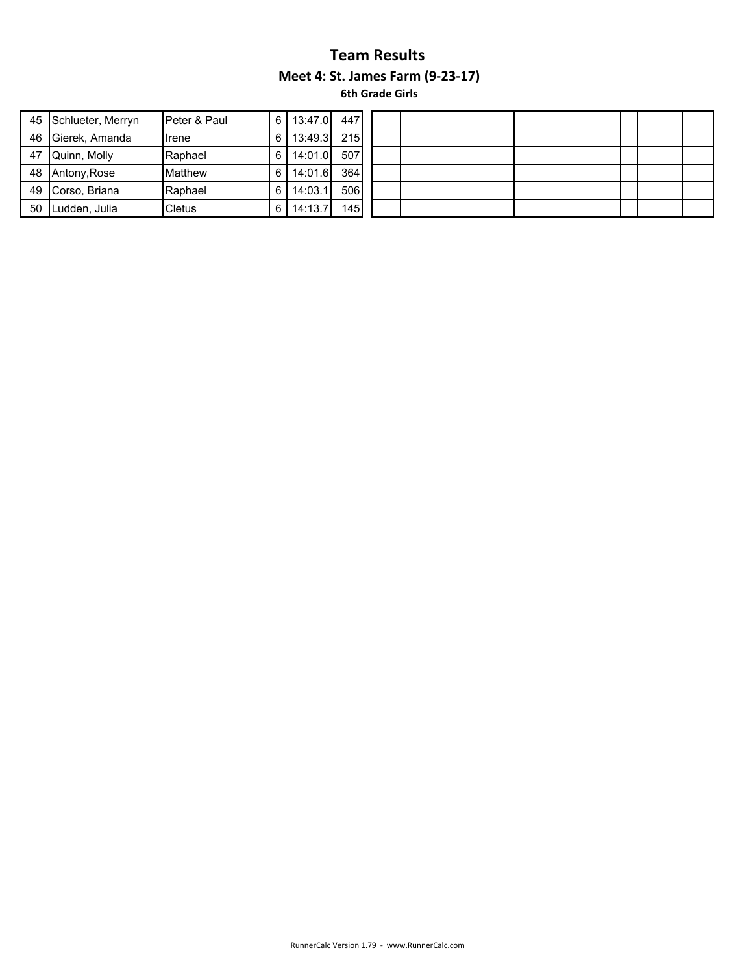| 45 | Schlueter, Merryn | Peter & Paul   | 6 | 13:47.0 | 447 |
|----|-------------------|----------------|---|---------|-----|
| 46 | Gierek, Amanda    | Irene          | 6 | 13:49.3 | 215 |
| 47 | Quinn, Molly      | Raphael        | 6 | 14:01.0 | 507 |
| 48 | Antony, Rose      | <b>Matthew</b> | 6 | 14:01.6 | 364 |
| 49 | Corso, Briana     | Raphael        | 6 | 14:03.1 | 506 |
| 50 | Ludden, Julia     | Cletus         | 6 | 14:13.7 | 145 |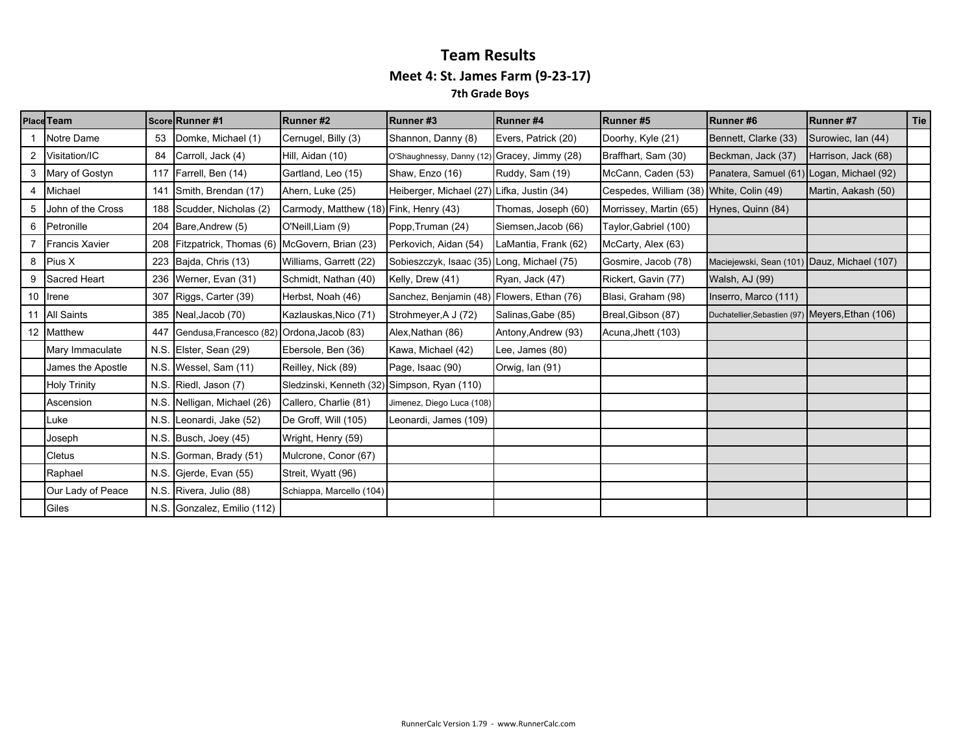|   | Place Team            |      | Score Runner #1                                  | Runner#2                                     | Runner#3                  | Runner#4             | Runner#5               | Runner#6                                         | <b>Runner#7</b>     | Tie |
|---|-----------------------|------|--------------------------------------------------|----------------------------------------------|---------------------------|----------------------|------------------------|--------------------------------------------------|---------------------|-----|
|   | Notre Dame            | 53   | Domke, Michael (1)                               | Cernugel, Billy (3)                          | Shannon, Danny (8)        | Evers, Patrick (20)  | Doorhy, Kyle (21)      | Bennett, Clarke (33)                             | Surowiec, Ian (44)  |     |
| 2 | Visitation/IC         | 84   | Carroll, Jack (4)                                | Hill, Aidan (10)                             | O'Shaughnessy, Danny (12) | Gracey, Jimmy (28)   | Braffhart, Sam (30)    | Beckman, Jack (37)                               | Harrison, Jack (68) |     |
|   | 3 Mary of Gostyn      | 117  | Farrell, Ben (14)                                | Gartland, Leo (15)                           | Shaw, Enzo (16)           | Ruddy, Sam (19)      | McCann, Caden (53)     | Panatera, Samuel (61) Logan, Michael (92)        |                     |     |
| 4 | Michael               | 141  | Smith, Brendan (17)                              | Ahern, Luke (25)                             | Heiberger, Michael (27)   | Lifka, Justin (34)   | Cespedes, William (38) | White, Colin (49)                                | Martin, Aakash (50) |     |
| 5 | John of the Cross     |      | 188 Scudder, Nicholas (2)                        | Carmody, Matthew (18) Fink, Henry (43)       |                           | Thomas, Joseph (60)  | Morrissey, Martin (65) | Hynes, Quinn (84)                                |                     |     |
| 6 | Petronille            |      | 204 Bare, Andrew (5)                             | O'Neill, Liam (9)                            | Popp, Truman (24)         | Siemsen, Jacob (66)  | Taylor, Gabriel (100)  |                                                  |                     |     |
|   | <b>Francis Xavier</b> |      | 208 Fitzpatrick, Thomas (6) McGovern, Brian (23) |                                              | Perkovich, Aidan (54)     | LaMantia, Frank (62) | McCarty, Alex (63)     |                                                  |                     |     |
|   | 8 Pius X              |      | 223 Bajda, Chris (13)                            | Williams, Garrett (22)                       | Sobieszczyk, Isaac (35)   | Long, Michael (75)   | Gosmire, Jacob (78)    | Maciejewski, Sean (101) Dauz, Michael (107)      |                     |     |
| 9 | Sacred Heart          |      | 236 Werner, Evan (31)                            | Schmidt, Nathan (40)                         | Kelly, Drew (41)          | Ryan, Jack (47)      | Rickert, Gavin (77)    | Walsh, AJ (99)                                   |                     |     |
|   | 10 Irene              | 307  | Riggs, Carter (39)                               | Herbst, Noah (46)                            | Sanchez, Benjamin (48)    | Flowers, Ethan (76)  | Blasi, Graham (98)     | Inserro, Marco (111)                             |                     |     |
|   | 11 All Saints         |      | 385 Neal, Jacob (70)                             | Kazlauskas, Nico (71)                        | Strohmeyer, A J (72)      | Salinas, Gabe (85)   | Breal, Gibson (87)     | Duchatellier, Sebastien (97) Meyers, Ethan (106) |                     |     |
|   | 12 Matthew            | 447  | Gendusa, Francesco (82) Ordona, Jacob (83)       |                                              | Alex, Nathan (86)         | Antony, Andrew (93)  | Acuna, Jhett (103)     |                                                  |                     |     |
|   | Mary Immaculate       | N.S. | Elster, Sean (29)                                | Ebersole, Ben (36)                           | Kawa, Michael (42)        | Lee, James (80)      |                        |                                                  |                     |     |
|   | James the Apostle     |      | N.S. Wessel, Sam (11)                            | Reilley, Nick (89)                           | Page, Isaac (90)          | Orwig, Ian (91)      |                        |                                                  |                     |     |
|   | <b>Holy Trinity</b>   | N.S. | Riedl, Jason (7)                                 | Sledzinski, Kenneth (32) Simpson, Ryan (110) |                           |                      |                        |                                                  |                     |     |
|   | Ascension             | N.S. | Nelligan, Michael (26)                           | Callero, Charlie (81)                        | Jimenez, Diego Luca (108) |                      |                        |                                                  |                     |     |
|   | Luke                  | N.S. | Leonardi, Jake (52)                              | De Groff, Will (105)                         | Leonardi, James (109)     |                      |                        |                                                  |                     |     |
|   | Joseph                | N.S. | Busch, Joey (45)                                 | Wright, Henry (59)                           |                           |                      |                        |                                                  |                     |     |
|   | <b>Cletus</b>         | N.S. | Gorman, Brady (51)                               | Mulcrone, Conor (67)                         |                           |                      |                        |                                                  |                     |     |
|   | Raphael               |      | N.S. Gjerde, Evan (55)                           | Streit, Wyatt (96)                           |                           |                      |                        |                                                  |                     |     |
|   | Our Lady of Peace     | N.S. | Rivera, Julio (88)                               | Schiappa, Marcello (104)                     |                           |                      |                        |                                                  |                     |     |
|   | Giles                 |      | N.S. Gonzalez, Emilio (112)                      |                                              |                           |                      |                        |                                                  |                     |     |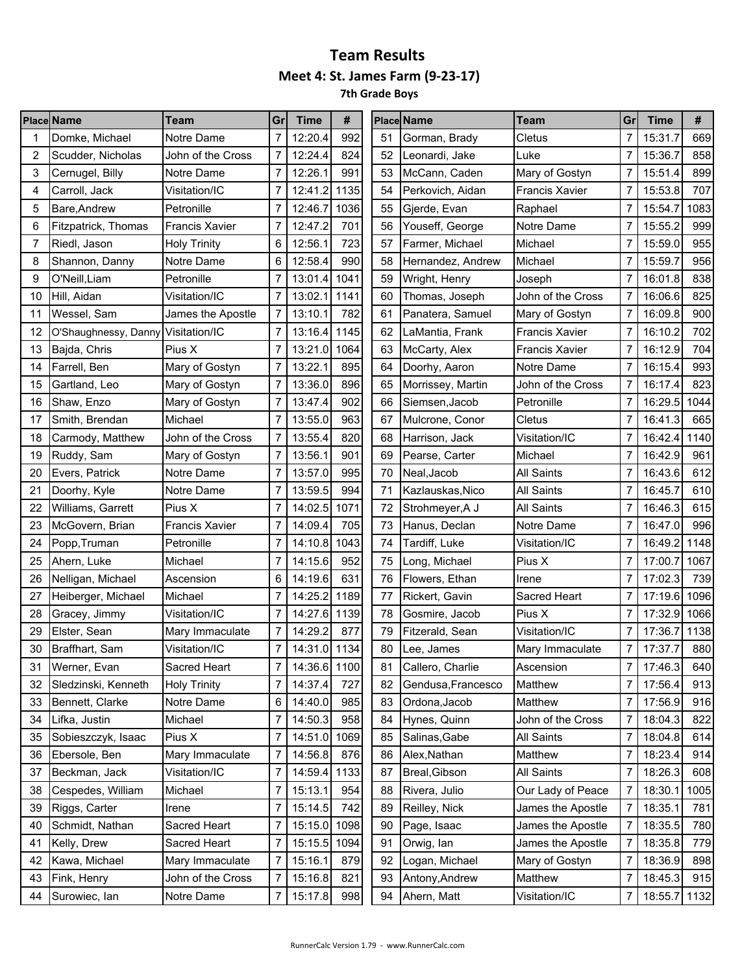|    | <b>Place Name</b>                  | <b>Team</b>           | Gr             | <b>Time</b>  | #    |    | <b>Place Name</b>  | <b>Team</b>           | Gr | <b>Time</b>            | #    |
|----|------------------------------------|-----------------------|----------------|--------------|------|----|--------------------|-----------------------|----|------------------------|------|
|    | Domke, Michael                     | Notre Dame            | 7              | 12:20.4      | 992  | 51 | Gorman, Brady      | Cletus                | 7  | 15:31.7                | 669  |
| 2  | Scudder, Nicholas                  | John of the Cross     | 7              | 12:24.4      | 824  | 52 | Leonardi, Jake     | Luke                  | 7  | 15:36.7                | 858  |
| 3  | Cernugel, Billy                    | Notre Dame            | 7              | 12:26.1      | 991  | 53 | McCann, Caden      | Mary of Gostyn        | 7  | 15:51.4                | 899  |
| 4  | Carroll, Jack                      | Visitation/IC         | 7              | 12:41.2      | 1135 | 54 | Perkovich, Aidan   | <b>Francis Xavier</b> | 7  | 15:53.8                | 707  |
| 5  | Bare, Andrew                       | Petronille            | 7              | 12:46.7      | 1036 | 55 | Gjerde, Evan       | Raphael               | 7  | 15:54.7                | 1083 |
| 6  | Fitzpatrick, Thomas                | Francis Xavier        | 7              | 12:47.2      | 701  | 56 | Youseff, George    | Notre Dame            | 7  | 15:55.2                | 999  |
| 7  | Riedl, Jason                       | <b>Holy Trinity</b>   | 6              | 12:56.1      | 723  | 57 | Farmer, Michael    | Michael               | 7  | 15:59.0                | 955  |
| 8  | Shannon, Danny                     | Notre Dame            | 6              | 12:58.4      | 990  | 58 | Hernandez, Andrew  | Michael               | 7  | 15:59.7                | 956  |
| 9  | O'Neill, Liam                      | Petronille            | 7              | 13:01.4      | 1041 | 59 | Wright, Henry      | Joseph                | 7  | 16:01.8                | 838  |
| 10 | Hill, Aidan                        | Visitation/IC         | 7              | 13:02.1      | 1141 | 60 | Thomas, Joseph     | John of the Cross     | 7  | 16:06.6                | 825  |
| 11 | Wessel, Sam                        | James the Apostle     | 7              | 13:10.1      | 782  | 61 | Panatera, Samuel   | Mary of Gostyn        | 7  | 16:09.8                | 900  |
| 12 | O'Shaughnessy, Danny Visitation/IC |                       | 7              | 13:16.4      | 1145 | 62 | LaMantia, Frank    | <b>Francis Xavier</b> | 7  | 16:10.2                | 702  |
| 13 | Bajda, Chris                       | Pius X                | 7              | 13:21.0      | 1064 | 63 | McCarty, Alex      | <b>Francis Xavier</b> | 7  | 16:12.9                | 704  |
| 14 | Farrell, Ben                       | Mary of Gostyn        | 7              | 13:22.1      | 895  | 64 | Doorhy, Aaron      | Notre Dame            | 7  | 16:15.4                | 993  |
| 15 | Gartland, Leo                      | Mary of Gostyn        | 7              | 13:36.0      | 896  | 65 | Morrissey, Martin  | John of the Cross     | 7  | 16:17.4                | 823  |
| 16 | Shaw, Enzo                         | Mary of Gostyn        | 7              | 13:47.4      | 902  | 66 | Siemsen, Jacob     | Petronille            | 7  | 16:29.5                | 1044 |
| 17 | Smith, Brendan                     | Michael               | 7              | 13:55.0      | 963  | 67 | Mulcrone, Conor    | Cletus                | 7  | 16:41.3                | 665  |
| 18 | Carmody, Matthew                   | John of the Cross     | 7              | 13:55.4      | 820  | 68 | Harrison, Jack     | Visitation/IC         | 7  | 16:42.4                | 1140 |
| 19 | Ruddy, Sam                         | Mary of Gostyn        | 7              | 13:56.1      | 901  | 69 | Pearse, Carter     | Michael               | 7  | 16:42.9                | 961  |
| 20 | Evers, Patrick                     | Notre Dame            | 7              | 13:57.0      | 995  | 70 | Neal, Jacob        | <b>All Saints</b>     | 7  | 16:43.6                | 612  |
| 21 | Doorhy, Kyle                       | Notre Dame            | 7              | 13:59.5      | 994  | 71 | Kazlauskas, Nico   | All Saints            | 7  | 16:45.7                | 610  |
| 22 | Williams, Garrett                  | Pius X                | 7              | 14:02.5      | 1071 | 72 | Strohmeyer, A J    | <b>All Saints</b>     | 7  | 16:46.3                | 615  |
| 23 | McGovern, Brian                    | <b>Francis Xavier</b> | 7              | 14:09.4      | 705  | 73 | Hanus, Declan      | Notre Dame            | 7  | 16:47.0                | 996  |
| 24 | Popp, Truman                       | Petronille            | 7              | 14:10.8      | 1043 | 74 | Tardiff, Luke      | Visitation/IC         | 7  | 16:49.2                | 1148 |
| 25 | Ahern, Luke                        | Michael               | 7              | 14:15.6      | 952  | 75 | Long, Michael      | Pius X                | 7  | 17:00.7                | 1067 |
| 26 | Nelligan, Michael                  | Ascension             | 6              | 14:19.6      | 631  | 76 | Flowers, Ethan     | Irene                 | 7  | 17:02.3                | 739  |
| 27 | Heiberger, Michael                 | Michael               | 7              | 14:25.2      | 1189 | 77 | Rickert, Gavin     | Sacred Heart          | 7  | 17:19.6                | 1096 |
| 28 | Gracey, Jimmy                      | Visitation/IC         | 7              | 14:27.6      | 1139 | 78 | Gosmire, Jacob     | Pius X                | 7  | 17:32.9                | 1066 |
| 29 | Elster, Sean                       | Mary Immaculate       | 7              | 14:29.2      | 877  | 79 | Fitzerald, Sean    | Visitation/IC         | 7  | 17:36.7                | 1138 |
| 30 | Braffhart, Sam                     | Visitation/IC         | 7              | 14:31.0 1134 |      | 80 | Lee, James         | Mary Immaculate       | 7  | 17:37.7                | 880  |
| 31 | Werner, Evan                       | Sacred Heart          | $\overline{7}$ | 14:36.6 1100 |      | 81 | Callero, Charlie   | Ascension             |    | $\overline{7}$ 17:46.3 | 640  |
| 32 | Sledzinski, Kenneth                | <b>Holy Trinity</b>   | 7              | 14:37.4      | 727  | 82 | Gendusa, Francesco | Matthew               | 7  | 17:56.4                | 913  |
| 33 | Bennett, Clarke                    | Notre Dame            | 6              | 14:40.0      | 985  | 83 | Ordona, Jacob      | Matthew               | 7  | 17:56.9                | 916  |
| 34 | Lifka, Justin                      | Michael               | 7              | 14:50.3      | 958  | 84 | Hynes, Quinn       | John of the Cross     | 7  | 18:04.3                | 822  |
| 35 | Sobieszczyk, Isaac                 | Pius X                | 7              | 14:51.0      | 1069 | 85 | Salinas, Gabe      | All Saints            | 7  | 18:04.8                | 614  |
| 36 | Ebersole, Ben                      | Mary Immaculate       | 7              | 14:56.8      | 876  | 86 | Alex, Nathan       | Matthew               | 7  | 18:23.4                | 914  |
| 37 | Beckman, Jack                      | Visitation/IC         | 7              | 14:59.4      | 1133 | 87 | Breal, Gibson      | All Saints            | 7  | 18:26.3                | 608  |
| 38 | Cespedes, William                  | Michael               | 7              | 15:13.1      | 954  | 88 | Rivera, Julio      | Our Lady of Peace     | 7  | 18:30.1                | 1005 |
| 39 | Riggs, Carter                      | Irene                 | 7              | 15:14.5      | 742  | 89 | Reilley, Nick      | James the Apostle     | 7  | 18:35.1                | 781  |
| 40 | Schmidt, Nathan                    | Sacred Heart          | 7              | 15:15.0      | 1098 | 90 | Page, Isaac        | James the Apostle     | 7  | 18:35.5                | 780  |
| 41 | Kelly, Drew                        | Sacred Heart          | 7              | 15:15.5 1094 |      | 91 | Orwig, lan         | James the Apostle     | 7  | 18:35.8                | 779  |
| 42 | Kawa, Michael                      | Mary Immaculate       | 7              | 15:16.1      | 879  | 92 | Logan, Michael     | Mary of Gostyn        | 7  | 18:36.9                | 898  |
| 43 | Fink, Henry                        | John of the Cross     | 7              | 15:16.8      | 821  | 93 | Antony, Andrew     | Matthew               | 7  | 18:45.3                | 915  |
| 44 | Surowiec, lan                      | Notre Dame            | 7              | 15:17.8      | 998  | 94 | Ahern, Matt        | Visitation/IC         | 7  | 18:55.7                | 1132 |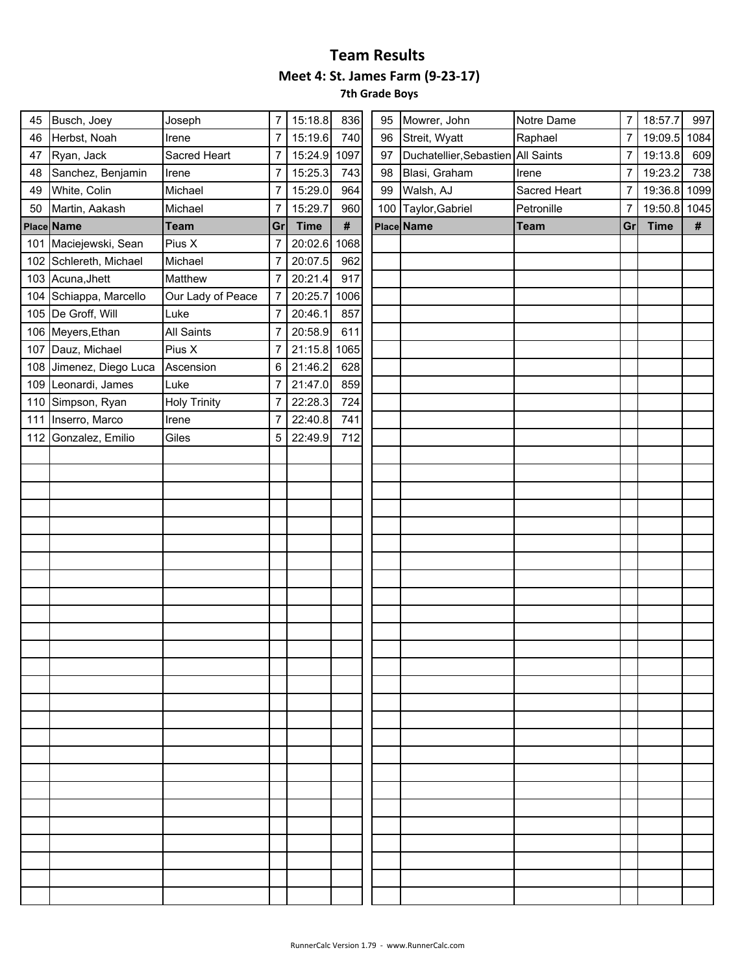| 45 | Busch, Joey             | Joseph              | 7  | 15:18.8      | 836  | 95  | Mowrer, John                       | Notre Dame   | $\overline{7}$ | 18:57.7     | 997  |
|----|-------------------------|---------------------|----|--------------|------|-----|------------------------------------|--------------|----------------|-------------|------|
| 46 | Herbst, Noah            | Irene               | 7  | 15:19.6      | 740  | 96  | Streit, Wyatt                      | Raphael      | $\overline{7}$ | 19:09.5     | 1084 |
| 47 | Ryan, Jack              | Sacred Heart        | 7  | 15:24.9 1097 |      | 97  | Duchatellier, Sebastien All Saints |              | 7              | 19:13.8     | 609  |
| 48 | Sanchez, Benjamin       | Irene               | 7  | 15:25.3      | 743  | 98  | Blasi, Graham                      | Irene        | $\overline{7}$ | 19:23.2     | 738  |
| 49 | White, Colin            | Michael             | 7  | 15:29.0      | 964  | 99  | Walsh, AJ                          | Sacred Heart | $\overline{7}$ | 19:36.8     | 1099 |
| 50 | Martin, Aakash          | Michael             | 7  | 15:29.7      | 960  | 100 | Taylor, Gabriel                    | Petronille   | $\overline{7}$ | 19:50.8     | 1045 |
|    | Place Name              | <b>Team</b>         | Gr | <b>Time</b>  | $\#$ |     | Place Name                         | <b>Team</b>  | Gr             | <b>Time</b> | #    |
|    | 101 Maciejewski, Sean   | Pius X              | 7  | 20:02.6      | 1068 |     |                                    |              |                |             |      |
|    | 102 Schlereth, Michael  | Michael             | 7  | 20:07.5      | 962  |     |                                    |              |                |             |      |
|    | 103 Acuna, Jhett        | Matthew             | 7  | 20:21.4      | 917  |     |                                    |              |                |             |      |
|    | 104 Schiappa, Marcello  | Our Lady of Peace   | 7  | 20:25.7      | 1006 |     |                                    |              |                |             |      |
|    | 105 De Groff, Will      | Luke                | 7  | 20:46.1      | 857  |     |                                    |              |                |             |      |
|    | 106 Meyers, Ethan       | All Saints          | 7  | 20:58.9      | 611  |     |                                    |              |                |             |      |
|    | 107 Dauz, Michael       | Pius X              | 7  | 21:15.8      | 1065 |     |                                    |              |                |             |      |
|    | 108 Jimenez, Diego Luca | Ascension           | 6  | 21:46.2      | 628  |     |                                    |              |                |             |      |
|    | 109 Leonardi, James     | Luke                | 7  | 21:47.0      | 859  |     |                                    |              |                |             |      |
|    | 110 Simpson, Ryan       | <b>Holy Trinity</b> | 7  | 22:28.3      | 724  |     |                                    |              |                |             |      |
|    | 111 Inserro, Marco      | Irene               | 7  | 22:40.8      | 741  |     |                                    |              |                |             |      |
|    | 112 Gonzalez, Emilio    | Giles               | 5  | 22:49.9      | 712  |     |                                    |              |                |             |      |
|    |                         |                     |    |              |      |     |                                    |              |                |             |      |
|    |                         |                     |    |              |      |     |                                    |              |                |             |      |
|    |                         |                     |    |              |      |     |                                    |              |                |             |      |
|    |                         |                     |    |              |      |     |                                    |              |                |             |      |
|    |                         |                     |    |              |      |     |                                    |              |                |             |      |
|    |                         |                     |    |              |      |     |                                    |              |                |             |      |
|    |                         |                     |    |              |      |     |                                    |              |                |             |      |
|    |                         |                     |    |              |      |     |                                    |              |                |             |      |
|    |                         |                     |    |              |      |     |                                    |              |                |             |      |
|    |                         |                     |    |              |      |     |                                    |              |                |             |      |
|    |                         |                     |    |              |      |     |                                    |              |                |             |      |
|    |                         |                     |    |              |      |     |                                    |              |                |             |      |
|    |                         |                     |    |              |      |     |                                    |              |                |             |      |
|    |                         |                     |    |              |      |     |                                    |              |                |             |      |
|    |                         |                     |    |              |      |     |                                    |              |                |             |      |
|    |                         |                     |    |              |      |     |                                    |              |                |             |      |
|    |                         |                     |    |              |      |     |                                    |              |                |             |      |
|    |                         |                     |    |              |      |     |                                    |              |                |             |      |
|    |                         |                     |    |              |      |     |                                    |              |                |             |      |
|    |                         |                     |    |              |      |     |                                    |              |                |             |      |
|    |                         |                     |    |              |      |     |                                    |              |                |             |      |
|    |                         |                     |    |              |      |     |                                    |              |                |             |      |
|    |                         |                     |    |              |      |     |                                    |              |                |             |      |
|    |                         |                     |    |              |      |     |                                    |              |                |             |      |
|    |                         |                     |    |              |      |     |                                    |              |                |             |      |
|    |                         |                     |    |              |      |     |                                    |              |                |             |      |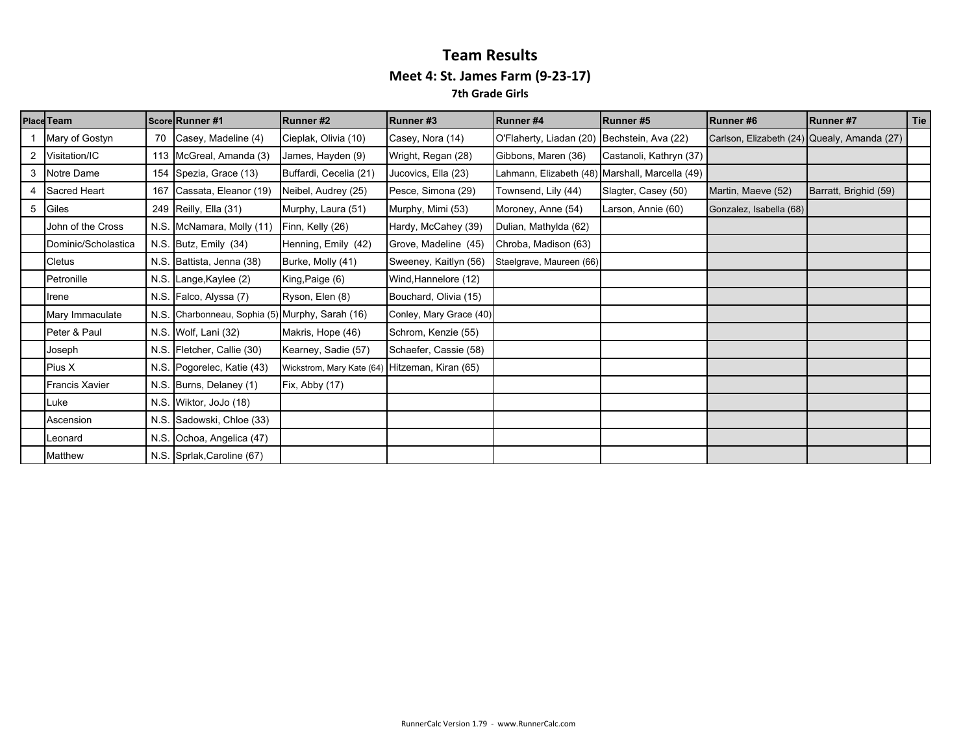|   | <b>Place Team</b>     |      | Score Runner #1                            | Runner#2                                       | Runner#3                | Runner#4                                    | Runner#5                                        | Runner#6                                    | <b>IRunner#7</b>      | Tie |
|---|-----------------------|------|--------------------------------------------|------------------------------------------------|-------------------------|---------------------------------------------|-------------------------------------------------|---------------------------------------------|-----------------------|-----|
|   | Mary of Gostyn        | 70   | Casey, Madeline (4)                        | Cieplak, Olivia (10)                           | Casey, Nora (14)        | O'Flaherty, Liadan (20) Bechstein, Ava (22) |                                                 | Carlson, Elizabeth (24) Quealy, Amanda (27) |                       |     |
| 2 | Visitation/IC         |      | 113 McGreal, Amanda (3)                    | James, Hayden (9)                              | Wright, Regan (28)      | Gibbons, Maren (36)                         | Castanoli, Kathryn (37)                         |                                             |                       |     |
| 3 | Notre Dame            |      | 154 Spezia, Grace (13)                     | Buffardi, Cecelia (21)                         | Jucovics, Ella (23)     |                                             | Lahmann, Elizabeth (48) Marshall, Marcella (49) |                                             |                       |     |
|   | Sacred Heart          | 167  | Cassata, Eleanor (19)                      | Neibel, Audrey (25)                            | Pesce, Simona (29)      | Townsend, Lily (44)                         | Slagter, Casey (50)                             | Martin, Maeve (52)                          | Barratt, Brighid (59) |     |
| 5 | Giles                 |      | 249 Reilly, Ella (31)                      | Murphy, Laura (51)                             | Murphy, Mimi (53)       | Moroney, Anne (54)                          | Larson, Annie (60)                              | Gonzalez, Isabella (68)                     |                       |     |
|   | John of the Cross     |      | N.S. McNamara, Molly (11)                  | Finn, Kelly (26)                               | Hardy, McCahey (39)     | Dulian, Mathylda (62)                       |                                                 |                                             |                       |     |
|   | Dominic/Scholastica   |      | N.S. Butz, Emily (34)                      | Henning, Emily (42)                            | Grove, Madeline (45)    | Chroba, Madison (63)                        |                                                 |                                             |                       |     |
|   | <b>Cletus</b>         |      | N.S. Battista, Jenna (38)                  | Burke, Molly (41)                              | Sweeney, Kaitlyn (56)   | Staelgrave, Maureen (66)                    |                                                 |                                             |                       |     |
|   | Petronille            | N.S. | Lange, Kaylee (2)                          | King, Paige (6)                                | Wind, Hannelore (12)    |                                             |                                                 |                                             |                       |     |
|   | Irene                 |      | N.S. Falco, Alyssa (7)                     | Ryson, Elen (8)                                | Bouchard, Olivia (15)   |                                             |                                                 |                                             |                       |     |
|   | Mary Immaculate       | N.S. | Charbonneau, Sophia (5) Murphy, Sarah (16) |                                                | Conley, Mary Grace (40) |                                             |                                                 |                                             |                       |     |
|   | Peter & Paul          |      | N.S. Wolf, Lani (32)                       | Makris, Hope (46)                              | Schrom, Kenzie (55)     |                                             |                                                 |                                             |                       |     |
|   | Joseph                | N.S. | Fletcher, Callie (30)                      | Kearney, Sadie (57)                            | Schaefer, Cassie (58)   |                                             |                                                 |                                             |                       |     |
|   | Pius X                |      | N.S. Pogorelec, Katie (43)                 | Wickstrom, Mary Kate (64) Hitzeman, Kiran (65) |                         |                                             |                                                 |                                             |                       |     |
|   | <b>Francis Xavier</b> |      | N.S. Burns, Delaney (1)                    | Fix, Abby (17)                                 |                         |                                             |                                                 |                                             |                       |     |
|   | Luke                  |      | N.S. Wiktor, JoJo (18)                     |                                                |                         |                                             |                                                 |                                             |                       |     |
|   | Ascension             |      | N.S. Sadowski, Chloe (33)                  |                                                |                         |                                             |                                                 |                                             |                       |     |
|   | Leonard               |      | N.S. Ochoa, Angelica (47)                  |                                                |                         |                                             |                                                 |                                             |                       |     |
|   | Matthew               |      | N.S. Sprlak, Caroline (67)                 |                                                |                         |                                             |                                                 |                                             |                       |     |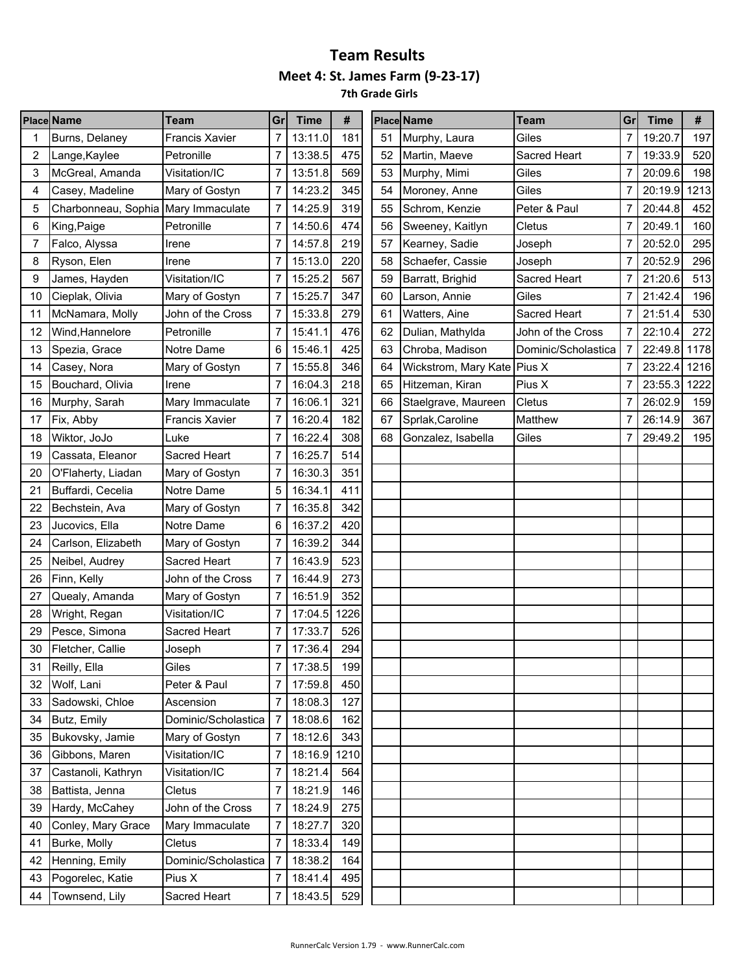**7th Grade Girls**

|    | <b>Place Name</b>                   | <b>Team</b>           | Gr             | <b>Time</b>  | #    |    | <b>Place Name</b>           | <b>Team</b>         | Gr | <b>Time</b> | #    |
|----|-------------------------------------|-----------------------|----------------|--------------|------|----|-----------------------------|---------------------|----|-------------|------|
|    | Burns, Delaney                      | <b>Francis Xavier</b> | 7              | 13:11.0      | 181  | 51 | Murphy, Laura               | Giles               | 7  | 19:20.7     | 197  |
| 2  | Lange, Kaylee                       | Petronille            | 7              | 13:38.5      | 475  | 52 | Martin, Maeve               | Sacred Heart        | 7  | 19:33.9     | 520  |
| 3  | McGreal, Amanda                     | Visitation/IC         | $\overline{7}$ | 13:51.8      | 569  | 53 | Murphy, Mimi                | Giles               | 7  | 20:09.6     | 198  |
| 4  | Casey, Madeline                     | Mary of Gostyn        |                | 14:23.2      | 345  | 54 | Moroney, Anne               | Giles               | 7  | 20:19.9     | 1213 |
| 5  | Charbonneau, Sophia Mary Immaculate |                       | 7              | 14:25.9      | 319  | 55 | Schrom, Kenzie              | Peter & Paul        | 7  | 20:44.8     | 452  |
| 6  | King, Paige                         | Petronille            |                | 14:50.6      | 474  | 56 | Sweeney, Kaitlyn            | Cletus              | 7  | 20:49.1     | 160  |
| 7  | Falco, Alyssa                       | Irene                 | 7              | 14:57.8      | 219  | 57 | Kearney, Sadie              | Joseph              | 7  | 20:52.0     | 295  |
| 8  | Ryson, Elen                         | Irene                 |                | 15:13.0      | 220  | 58 | Schaefer, Cassie            | Joseph              | 7  | 20:52.9     | 296  |
| 9  | James, Hayden                       | Visitation/IC         |                | 15:25.2      | 567  | 59 | Barratt, Brighid            | Sacred Heart        | 7  | 21:20.6     | 513  |
| 10 | Cieplak, Olivia                     | Mary of Gostyn        | 7              | 15:25.7      | 347  | 60 | Larson, Annie               | Giles               | 7  | 21:42.4     | 196  |
| 11 | McNamara, Molly                     | John of the Cross     | 7              | 15:33.8      | 279  | 61 | Watters, Aine               | Sacred Heart        | 7  | 21:51.4     | 530  |
| 12 | Wind, Hannelore                     | Petronille            | 7              | 15:41.1      | 476  | 62 | Dulian, Mathylda            | John of the Cross   | 7  | 22:10.4     | 272  |
| 13 | Spezia, Grace                       | Notre Dame            | 6              | 15:46.1      | 425  | 63 | Chroba, Madison             | Dominic/Scholastica | 7  | 22:49.8     | 1178 |
| 14 | Casey, Nora                         | Mary of Gostyn        | 7              | 15:55.8      | 346  | 64 | Wickstrom, Mary Kate Pius X |                     | 7  | 23:22.4     | 1216 |
| 15 | Bouchard, Olivia                    | Irene                 | 7              | 16:04.3      | 218  | 65 | Hitzeman, Kiran             | Pius X              | 7  | 23:55.3     | 1222 |
| 16 | Murphy, Sarah                       | Mary Immaculate       | 7              | 16:06.1      | 321  | 66 | Staelgrave, Maureen         | Cletus              | 7  | 26:02.9     | 159  |
| 17 | Fix, Abby                           | <b>Francis Xavier</b> |                | 16:20.4      | 182  | 67 | Sprlak, Caroline            | Matthew             | 7  | 26:14.9     | 367  |
| 18 | Wiktor, JoJo                        | Luke                  | $\overline{7}$ | 16:22.4      | 308  | 68 | Gonzalez, Isabella          | Giles               | 7  | 29:49.2     | 195  |
| 19 | Cassata, Eleanor                    | Sacred Heart          | 7              | 16:25.7      | 514  |    |                             |                     |    |             |      |
| 20 | O'Flaherty, Liadan                  | Mary of Gostyn        | 7              | 16:30.3      | 351  |    |                             |                     |    |             |      |
| 21 | Buffardi, Cecelia                   | Notre Dame            | 5              | 16:34.1      | 411  |    |                             |                     |    |             |      |
| 22 | Bechstein, Ava                      | Mary of Gostyn        |                | 16:35.8      | 342  |    |                             |                     |    |             |      |
| 23 | Jucovics, Ella                      | Notre Dame            | 6              | 16:37.2      | 420  |    |                             |                     |    |             |      |
| 24 | Carlson, Elizabeth                  | Mary of Gostyn        |                | 16:39.2      | 344  |    |                             |                     |    |             |      |
| 25 | Neibel, Audrey                      | Sacred Heart          | 7              | 16:43.9      | 523  |    |                             |                     |    |             |      |
| 26 | Finn, Kelly                         | John of the Cross     |                | 16:44.9      | 273  |    |                             |                     |    |             |      |
| 27 | Quealy, Amanda                      | Mary of Gostyn        |                | 16:51.9      | 352  |    |                             |                     |    |             |      |
| 28 | Wright, Regan                       | Visitation/IC         | 7              | 17:04.5      | 1226 |    |                             |                     |    |             |      |
| 29 | Pesce, Simona                       | Sacred Heart          | 7              | 17:33.7      | 526  |    |                             |                     |    |             |      |
| 30 | Fletcher, Callie                    | Joseph                | 7              | 17:36.4      | 294  |    |                             |                     |    |             |      |
| 31 | Reilly, Ella                        | Giles                 |                | 17:38.5      | 199  |    |                             |                     |    |             |      |
| 32 | Wolf, Lani                          | Peter & Paul          |                | 17:59.8      | 450  |    |                             |                     |    |             |      |
| 33 | Sadowski, Chloe                     | Ascension             | 7              | 18:08.3      | 127  |    |                             |                     |    |             |      |
| 34 | Butz, Emily                         | Dominic/Scholastica   |                | 18:08.6      | 162  |    |                             |                     |    |             |      |
| 35 | Bukovsky, Jamie                     | Mary of Gostyn        | 7              | 18:12.6      | 343  |    |                             |                     |    |             |      |
| 36 | Gibbons, Maren                      | Visitation/IC         | $\overline{7}$ | 18:16.9 1210 |      |    |                             |                     |    |             |      |
| 37 | Castanoli, Kathryn                  | Visitation/IC         | 7              | 18:21.4      | 564  |    |                             |                     |    |             |      |
| 38 | Battista, Jenna                     | Cletus                | 7              | 18:21.9      | 146  |    |                             |                     |    |             |      |
| 39 | Hardy, McCahey                      | John of the Cross     | 7              | 18:24.9      | 275  |    |                             |                     |    |             |      |
| 40 | Conley, Mary Grace                  | Mary Immaculate       |                | 18:27.7      | 320  |    |                             |                     |    |             |      |
| 41 | Burke, Molly                        | Cletus                | $\overline{7}$ | 18:33.4      | 149  |    |                             |                     |    |             |      |
| 42 | Henning, Emily                      | Dominic/Scholastica   |                | 18:38.2      | 164  |    |                             |                     |    |             |      |
| 43 | Pogorelec, Katie                    | Pius X                | 7              | 18:41.4      | 495  |    |                             |                     |    |             |      |
| 44 | Townsend, Lily                      | Sacred Heart          | $\overline{7}$ | 18:43.5      | 529  |    |                             |                     |    |             |      |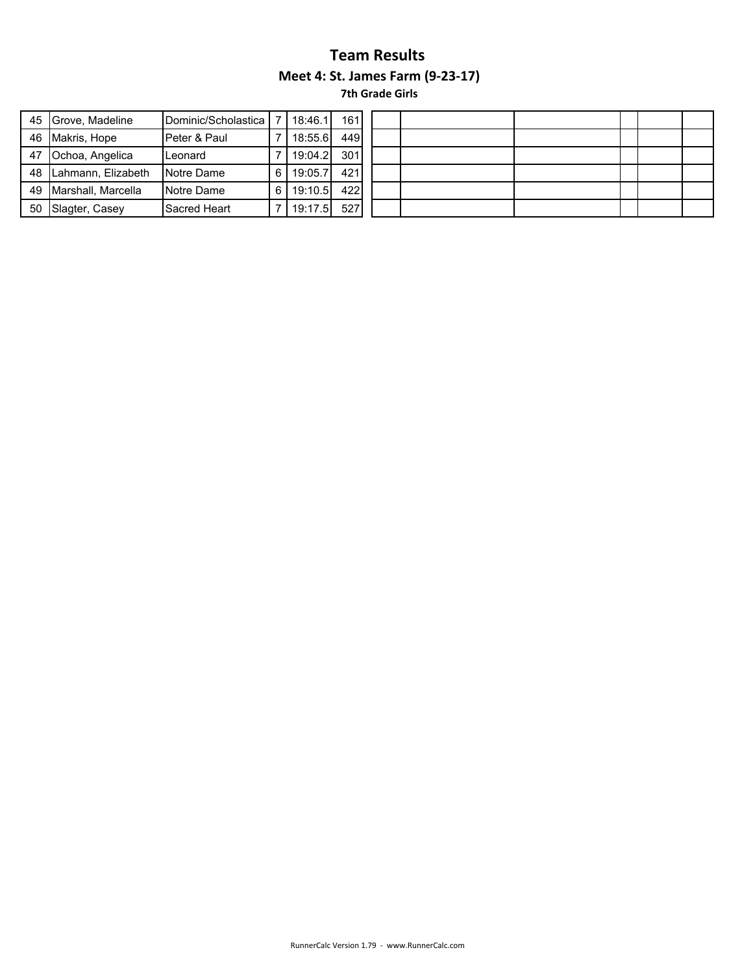|    | 45 Grove, Madeline | Dominic/Scholastica |   | 18:46.1 | 1611 |
|----|--------------------|---------------------|---|---------|------|
| 46 | Makris, Hope       | Peter & Paul        |   | 18:55.6 | 449  |
| 47 | Ochoa, Angelica    | Leonard             |   | 19:04.2 | 301  |
| 48 | Lahmann, Elizabeth | Notre Dame          | 6 | 19:05.7 | 421  |
| 49 | Marshall, Marcella | Notre Dame          | 6 | 19:10.5 | 422  |
| 50 | Slagter, Casey     | Sacred Heart        |   | 19:17.5 | 527  |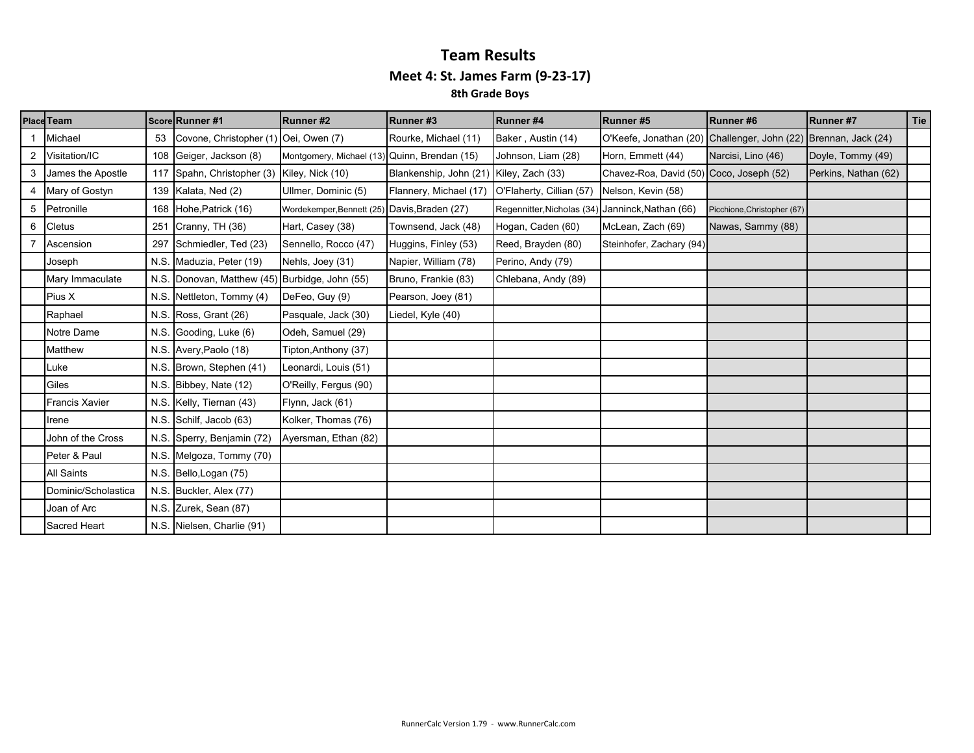|   | Place Team            |     | Score Runner #1                                | Runner#2                                     | Runner#3               | <b>Runner#4</b>                                  | Runner#5                                                        | Runner#6                    | Runner #7            | Tie |
|---|-----------------------|-----|------------------------------------------------|----------------------------------------------|------------------------|--------------------------------------------------|-----------------------------------------------------------------|-----------------------------|----------------------|-----|
|   | Michael               | 53  | Covone, Christopher (1) Oei, Owen (7)          |                                              | Rourke, Michael (11)   | Baker, Austin (14)                               | O'Keefe, Jonathan (20) Challenger, John (22) Brennan, Jack (24) |                             |                      |     |
|   | 2 Visitation/IC       |     | 108 Geiger, Jackson (8)                        | Montgomery, Michael (13) Quinn, Brendan (15) |                        | Johnson, Liam (28)                               | Horn, Emmett (44)                                               | Narcisi, Lino (46)          | Doyle, Tommy (49)    |     |
| 3 | James the Apostle     |     | 117 Spahn, Christopher (3) Kiley, Nick (10)    |                                              | Blankenship, John (21) | Kiley, Zach (33)                                 | Chavez-Roa, David (50) Coco, Joseph (52)                        |                             | Perkins, Nathan (62) |     |
|   | 4 Mary of Gostyn      |     | 139 Kalata, Ned (2)                            | Ullmer, Dominic (5)                          | Flannery, Michael (17) | O'Flaherty, Cillian (57)                         | Nelson, Kevin (58)                                              |                             |                      |     |
|   | 5 Petronille          |     | 168 Hohe, Patrick (16)                         | Wordekemper, Bennett (25) Davis, Braden (27) |                        | Regennitter, Nicholas (34) Janninck, Nathan (66) |                                                                 | Picchione, Christopher (67) |                      |     |
| 6 | Cletus                | 251 | Cranny, TH (36)                                | Hart, Casey (38)                             | Townsend, Jack (48)    | Hogan, Caden (60)                                | McLean, Zach (69)                                               | Nawas, Sammy (88)           |                      |     |
|   | Ascension             |     | 297 Schmiedler, Ted (23)                       | Sennello, Rocco (47)                         | Huggins, Finley (53)   | Reed, Brayden (80)                               | Steinhofer, Zachary (94)                                        |                             |                      |     |
|   | Joseph                |     | N.S. Maduzia, Peter (19)                       | Nehls, Joey (31)                             | Napier, William (78)   | Perino, Andy (79)                                |                                                                 |                             |                      |     |
|   | Mary Immaculate       |     | N.S. Donovan, Matthew (45) Burbidge, John (55) |                                              | Bruno, Frankie (83)    | Chlebana, Andy (89)                              |                                                                 |                             |                      |     |
|   | Pius X                |     | N.S. Nettleton, Tommy (4)                      | DeFeo, Guy (9)                               | Pearson, Joey (81)     |                                                  |                                                                 |                             |                      |     |
|   | Raphael               |     | N.S. Ross, Grant (26)                          | Pasquale, Jack (30)                          | Liedel, Kyle (40)      |                                                  |                                                                 |                             |                      |     |
|   | Notre Dame            |     | N.S. Gooding, Luke (6)                         | Odeh, Samuel (29)                            |                        |                                                  |                                                                 |                             |                      |     |
|   | Matthew               |     | N.S. Avery, Paolo (18)                         | Tipton, Anthony (37)                         |                        |                                                  |                                                                 |                             |                      |     |
|   | Luke                  |     | N.S. Brown, Stephen (41)                       | Leonardi, Louis (51)                         |                        |                                                  |                                                                 |                             |                      |     |
|   | Giles                 |     | N.S. Bibbey, Nate (12)                         | O'Reilly, Fergus (90)                        |                        |                                                  |                                                                 |                             |                      |     |
|   | <b>Francis Xavier</b> |     | N.S. Kelly, Tiernan (43)                       | Flynn, Jack (61)                             |                        |                                                  |                                                                 |                             |                      |     |
|   | Irene                 |     | N.S. Schilf, Jacob (63)                        | Kolker, Thomas (76)                          |                        |                                                  |                                                                 |                             |                      |     |
|   | John of the Cross     |     | N.S. Sperry, Benjamin (72)                     | Ayersman, Ethan (82)                         |                        |                                                  |                                                                 |                             |                      |     |
|   | Peter & Paul          |     | N.S. Melgoza, Tommy (70)                       |                                              |                        |                                                  |                                                                 |                             |                      |     |
|   | <b>All Saints</b>     |     | N.S. Bello, Logan (75)                         |                                              |                        |                                                  |                                                                 |                             |                      |     |
|   | Dominic/Scholastica   |     | N.S. Buckler, Alex (77)                        |                                              |                        |                                                  |                                                                 |                             |                      |     |
|   | Joan of Arc           |     | N.S. Zurek, Sean (87)                          |                                              |                        |                                                  |                                                                 |                             |                      |     |
|   | Sacred Heart          |     | N.S. Nielsen, Charlie (91)                     |                                              |                        |                                                  |                                                                 |                             |                      |     |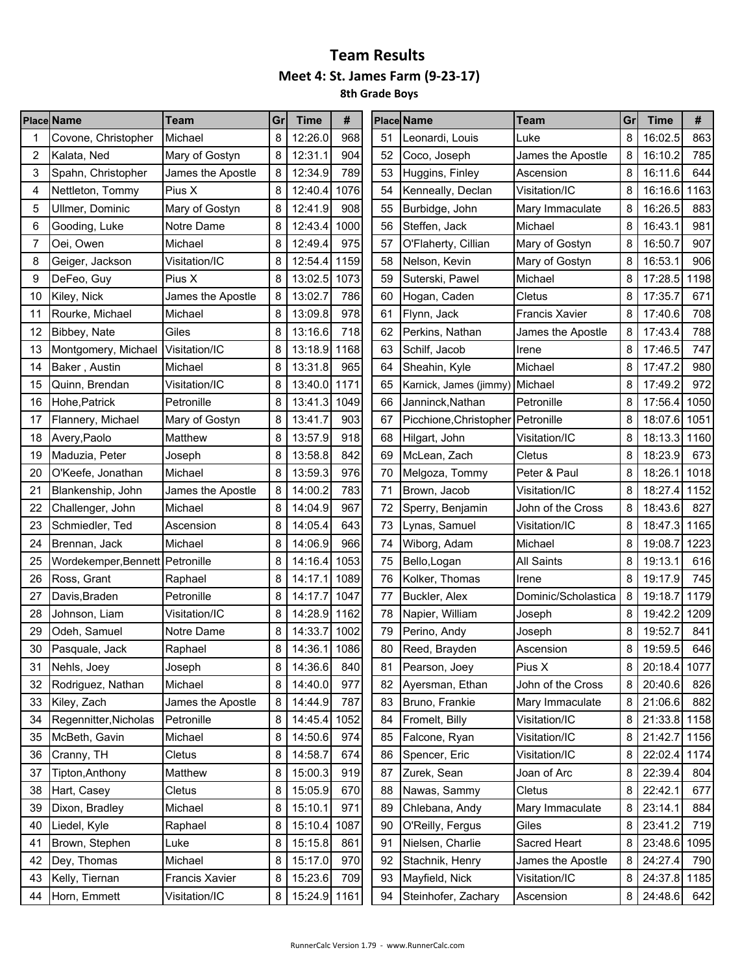|    | <b>Place Name</b>               | <b>Team</b>       | Grl | <b>Time</b>  | #    |    | <b>Place Name</b>                   | <b>Team</b>           | Gr | <b>Time</b>  | #    |
|----|---------------------------------|-------------------|-----|--------------|------|----|-------------------------------------|-----------------------|----|--------------|------|
|    | Covone, Christopher             | Michael           | 8   | 12:26.0      | 968  | 51 | Leonardi, Louis                     | Luke                  | 8  | 16:02.5      | 863  |
| 2  | Kalata, Ned                     | Mary of Gostyn    | 8   | 12:31.1      | 904  | 52 | Coco, Joseph                        | James the Apostle     | 8  | 16:10.2      | 785  |
| 3  | Spahn, Christopher              | James the Apostle | 8   | 12:34.9      | 789  | 53 | Huggins, Finley                     | Ascension             | 8  | 16:11.6      | 644  |
| 4  | Nettleton, Tommy                | Pius X            | 8   | 12:40.4      | 1076 | 54 | Kenneally, Declan                   | Visitation/IC         | 8  | 16:16.6      | 1163 |
| 5  | Ullmer, Dominic                 | Mary of Gostyn    | 8   | 12:41.9      | 908  | 55 | Burbidge, John                      | Mary Immaculate       | 8  | 16:26.5      | 883  |
| 6  | Gooding, Luke                   | Notre Dame        | 8   | 12:43.4      | 1000 | 56 | Steffen, Jack                       | Michael               | 8  | 16:43.1      | 981  |
| 7  | Oei, Owen                       | Michael           | 8   | 12:49.4      | 975  | 57 | O'Flaherty, Cillian                 | Mary of Gostyn        | 8  | 16:50.7      | 907  |
| 8  | Geiger, Jackson                 | Visitation/IC     | 8   | 12:54.4      | 1159 | 58 | Nelson, Kevin                       | Mary of Gostyn        | 8  | 16:53.1      | 906  |
| 9  | DeFeo, Guy                      | Pius X            | 8   | 13:02.5      | 1073 | 59 | Suterski, Pawel                     | Michael               | 8  | 17:28.5      | 1198 |
| 10 | Kiley, Nick                     | James the Apostle | 8   | 13:02.7      | 786  | 60 | Hogan, Caden                        | Cletus                | 8  | 17:35.7      | 671  |
| 11 | Rourke, Michael                 | Michael           | 8   | 13:09.8      | 978  | 61 | Flynn, Jack                         | <b>Francis Xavier</b> | 8  | 17:40.6      | 708  |
| 12 | Bibbey, Nate                    | Giles             | 8   | 13:16.6      | 718  | 62 | Perkins, Nathan                     | James the Apostle     | 8  | 17:43.4      | 788  |
| 13 | Montgomery, Michael             | Visitation/IC     | 8   | 13:18.9      | 1168 | 63 | Schilf, Jacob                       | Irene                 | 8  | 17:46.5      | 747  |
| 14 | Baker, Austin                   | Michael           | 8   | 13:31.8      | 965  | 64 | Sheahin, Kyle                       | Michael               | 8  | 17:47.2      | 980  |
| 15 | Quinn, Brendan                  | Visitation/IC     | 8   | 13:40.0      | 1171 | 65 | Karnick, James (jimmy) Michael      |                       | 8  | 17:49.2      | 972  |
| 16 | Hohe, Patrick                   | Petronille        | 8   | 13:41.3      | 1049 | 66 | Janninck, Nathan                    | Petronille            | 8  | 17:56.4      | 1050 |
| 17 | Flannery, Michael               | Mary of Gostyn    | 8   | 13:41.7      | 903  | 67 | Picchione, Christopher   Petronille |                       | 8  | 18:07.6      | 1051 |
| 18 | Avery, Paolo                    | Matthew           | 8   | 13:57.9      | 918  | 68 | Hilgart, John                       | Visitation/IC         | 8  | 18:13.3      | 1160 |
| 19 | Maduzia, Peter                  | Joseph            | 8   | 13:58.8      | 842  | 69 | McLean, Zach                        | Cletus                | 8  | 18:23.9      | 673  |
| 20 | O'Keefe, Jonathan               | Michael           | 8   | 13:59.3      | 976  | 70 | Melgoza, Tommy                      | Peter & Paul          | 8  | 18:26.1      | 1018 |
| 21 | Blankenship, John               | James the Apostle | 8   | 14:00.2      | 783  | 71 | Brown, Jacob                        | Visitation/IC         | 8  | 18:27.4      | 1152 |
| 22 | Challenger, John                | Michael           | 8   | 14:04.9      | 967  | 72 | Sperry, Benjamin                    | John of the Cross     | 8  | 18:43.6      | 827  |
| 23 | Schmiedler, Ted                 | Ascension         | 8   | 14:05.4      | 643  | 73 | Lynas, Samuel                       | Visitation/IC         | 8  | 18:47.3      | 1165 |
| 24 | Brennan, Jack                   | Michael           | 8   | 14:06.9      | 966  | 74 | Wiborg, Adam                        | Michael               | 8  | 19:08.7      | 1223 |
| 25 | Wordekemper, Bennett Petronille |                   | 8   | 14:16.4      | 1053 | 75 | Bello, Logan                        | All Saints            | 8  | 19:13.1      | 616  |
| 26 | Ross, Grant                     | Raphael           | 8   | 14:17.1      | 1089 | 76 | Kolker, Thomas                      | Irene                 | 8  | 19:17.9      | 745  |
| 27 | Davis, Braden                   | Petronille        | 8   | 14:17.7      | 1047 | 77 | Buckler, Alex                       | Dominic/Scholastica   | 8  | 19:18.7      | 1179 |
| 28 | Johnson, Liam                   | Visitation/IC     | 8   | 14:28.9      | 1162 | 78 | Napier, William                     | Joseph                | 8  | 19:42.2      | 1209 |
| 29 | Odeh, Samuel                    | Notre Dame        | 8   | 14:33.7      | 1002 | 79 | Perino, Andy                        | Joseph                | 8  | 19:52.7      | 841  |
| 30 | Pasquale, Jack                  | Raphael           | 8   | 14:36.1      | 1086 | 80 | Reed, Brayden                       | Ascension             | 8  | 19:59.5      | 646  |
| 31 | Nehls, Joey                     | Joseph            | 8   | 14:36.6      | 840  | 81 | Pearson, Joey                       | Pius X                | 8  | 20:18.4 1077 |      |
| 32 | Rodriguez, Nathan               | Michael           | 8   | 14:40.0      | 977  | 82 | Ayersman, Ethan                     | John of the Cross     | 8  | 20:40.6      | 826  |
| 33 | Kiley, Zach                     | James the Apostle | 8   | 14:44.9      | 787  | 83 | Bruno, Frankie                      | Mary Immaculate       | 8  | 21:06.6      | 882  |
| 34 | Regennitter, Nicholas           | Petronille        | 8   | 14:45.4      | 1052 | 84 | Fromelt, Billy                      | Visitation/IC         | 8  | 21:33.8 1158 |      |
| 35 | McBeth, Gavin                   | Michael           | 8   | 14:50.6      | 974  | 85 | Falcone, Ryan                       | Visitation/IC         | 8  | 21:42.7 1156 |      |
| 36 | Cranny, TH                      | Cletus            | 8   | 14:58.7      | 674  | 86 | Spencer, Eric                       | Visitation/IC         | 8  | 22:02.4 1174 |      |
| 37 | Tipton, Anthony                 | Matthew           | 8   | 15:00.3      | 919  | 87 | Zurek, Sean                         | Joan of Arc           | 8  | 22:39.4      | 804  |
| 38 | Hart, Casey                     | Cletus            | 8   | 15:05.9      | 670  | 88 | Nawas, Sammy                        | Cletus                | 8  | 22:42.1      | 677  |
| 39 | Dixon, Bradley                  | Michael           | 8   | 15:10.1      | 971  | 89 | Chlebana, Andy                      | Mary Immaculate       | 8  | 23:14.1      | 884  |
| 40 | Liedel, Kyle                    | Raphael           | 8   | 15:10.4      | 1087 | 90 | O'Reilly, Fergus                    | Giles                 | 8  | 23:41.2      | 719  |
| 41 | Brown, Stephen                  | Luke              | 8   | 15:15.8      | 861  | 91 | Nielsen, Charlie                    | Sacred Heart          | 8  | 23:48.6      | 1095 |
| 42 | Dey, Thomas                     | Michael           | 8   | 15:17.0      | 970  | 92 | Stachnik, Henry                     | James the Apostle     | 8  | 24:27.4      | 790  |
| 43 | Kelly, Tiernan                  | Francis Xavier    | 8   | 15:23.6      | 709  | 93 | Mayfield, Nick                      | Visitation/IC         | 8  | 24:37.8 1185 |      |
| 44 | Horn, Emmett                    | Visitation/IC     | 8   | 15:24.9 1161 |      | 94 | Steinhofer, Zachary                 | Ascension             | 8  | 24:48.6      | 642  |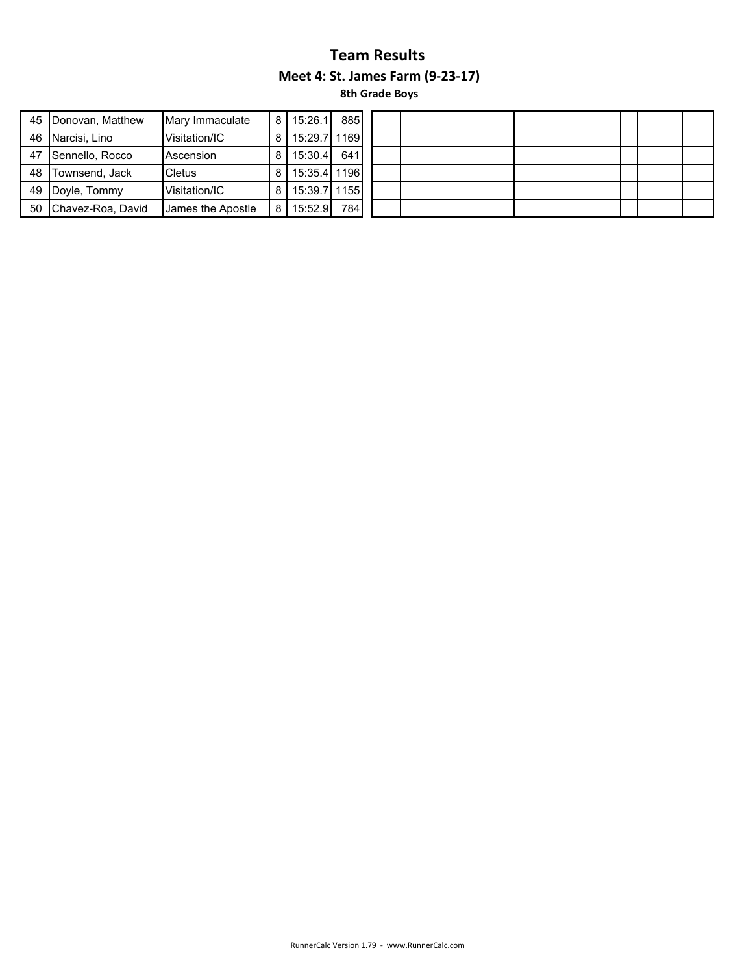| 45 | Donovan, Matthew  | Mary Immaculate   | 8 I | 15:26.1      | 885 |  |  |  |
|----|-------------------|-------------------|-----|--------------|-----|--|--|--|
| 46 | Narcisi, Lino     | Visitation/IC     | 8   | 15:29.7 1169 |     |  |  |  |
| 47 | Sennello, Rocco   | Ascension         | 81  | 15:30.4      | 641 |  |  |  |
| 48 | Townsend, Jack    | <b>Cletus</b>     | 81  | 15:35.4 1196 |     |  |  |  |
| 49 | Doyle, Tommy      | Visitation/IC     | 81  | 15:39.7 1155 |     |  |  |  |
| 50 | Chavez-Roa, David | James the Apostle | 8   | 15:52.9      | 784 |  |  |  |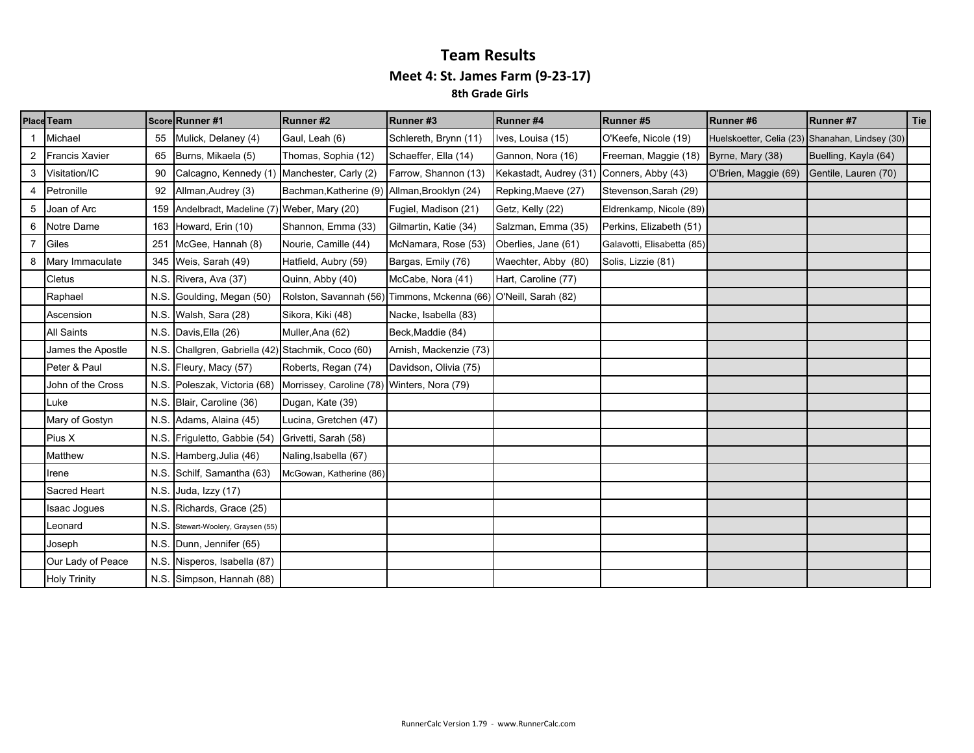### **Team Results Meet 4: St. James Farm (9‐23‐17) 8th Grade Girls**

|   | Place Team            |      | Score Runner #1                                                          | Runner#2                                     | Runner#3                                                         | Runner#4               | Runner#5                   | Runner #6            | Runner#7                                        | Tie |
|---|-----------------------|------|--------------------------------------------------------------------------|----------------------------------------------|------------------------------------------------------------------|------------------------|----------------------------|----------------------|-------------------------------------------------|-----|
|   | Michael               | 55   | Mulick, Delaney (4)                                                      | Gaul, Leah (6)                               | Schlereth, Brynn (11)                                            | Ives, Louisa (15)      | O'Keefe, Nicole (19)       |                      | Huelskoetter, Celia (23) Shanahan, Lindsey (30) |     |
|   | <b>Francis Xavier</b> | 65   | Burns, Mikaela (5)                                                       | Thomas, Sophia (12)                          | Schaeffer, Ella (14)                                             | Gannon, Nora (16)      | Freeman, Maggie (18)       | Byrne, Mary (38)     | Buelling, Kayla (64)                            |     |
| 3 | Visitation/IC         | 90   | Calcagno, Kennedy (1)                                                    | Manchester, Carly (2)                        | Farrow, Shannon (13)                                             | Kekastadt, Audrey (31) | Conners, Abby (43)         | O'Brien, Maggie (69) | Gentile, Lauren (70)                            |     |
| 4 | Petronille            | 92   | Allman, Audrey (3)                                                       | Bachman, Katherine (9) Allman, Brooklyn (24) |                                                                  | Repking, Maeve (27)    | Stevenson, Sarah (29)      |                      |                                                 |     |
| 5 | Joan of Arc           |      | 159 Andelbradt, Madeline (7) Weber, Mary (20)                            |                                              | Fugiel, Madison (21)                                             | Getz, Kelly (22)       | Eldrenkamp, Nicole (89)    |                      |                                                 |     |
| 6 | Notre Dame            |      | 163 Howard, Erin (10)                                                    | Shannon, Emma (33)                           | Gilmartin, Katie (34)                                            | Salzman, Emma (35)     | Perkins, Elizabeth (51)    |                      |                                                 |     |
| 7 | Giles                 | 251  | McGee, Hannah (8)                                                        | Nourie, Camille (44)                         | McNamara, Rose (53)                                              | Oberlies, Jane (61)    | Galavotti, Elisabetta (85) |                      |                                                 |     |
|   | Mary Immaculate       | 345  | Weis, Sarah (49)                                                         | Hatfield, Aubry (59)                         | Bargas, Emily (76)                                               | Waechter, Abby (80)    | Solis, Lizzie (81)         |                      |                                                 |     |
|   | Cletus                |      | N.S. Rivera, Ava (37)                                                    | Quinn, Abby (40)                             | McCabe, Nora (41)                                                | Hart, Caroline (77)    |                            |                      |                                                 |     |
|   | Raphael               |      | N.S. Goulding, Megan (50)                                                |                                              | Rolston, Savannah (56) Timmons, Mckenna (66) O'Neill, Sarah (82) |                        |                            |                      |                                                 |     |
|   | Ascension             |      | N.S. Walsh, Sara (28)                                                    | Sikora, Kiki (48)                            | Nacke, Isabella (83)                                             |                        |                            |                      |                                                 |     |
|   | <b>All Saints</b>     |      | N.S. Davis, Ella (26)                                                    | Muller, Ana (62)                             | Beck, Maddie (84)                                                |                        |                            |                      |                                                 |     |
|   | James the Apostle     |      | N.S. Challgren, Gabriella (42) Stachmik, Coco (60)                       |                                              | Arnish, Mackenzie (73)                                           |                        |                            |                      |                                                 |     |
|   | Peter & Paul          |      | N.S. Fleury, Macy (57)                                                   | Roberts, Regan (74)                          | Davidson, Olivia (75)                                            |                        |                            |                      |                                                 |     |
|   | John of the Cross     |      | N.S. Poleszak, Victoria (68) Morrissey, Caroline (78) Winters, Nora (79) |                                              |                                                                  |                        |                            |                      |                                                 |     |
|   | Luke                  | N.S. | Blair, Caroline (36)                                                     | Dugan, Kate (39)                             |                                                                  |                        |                            |                      |                                                 |     |
|   | Mary of Gostyn        |      | N.S. Adams, Alaina (45)                                                  | Lucina, Gretchen (47)                        |                                                                  |                        |                            |                      |                                                 |     |
|   | Pius X                |      | N.S. Friguletto, Gabbie (54)                                             | Grivetti, Sarah (58)                         |                                                                  |                        |                            |                      |                                                 |     |
|   | Matthew               |      | N.S. Hamberg, Julia (46)                                                 | Naling, Isabella (67)                        |                                                                  |                        |                            |                      |                                                 |     |
|   | Irene                 |      | N.S. Schilf, Samantha (63)                                               | McGowan, Katherine (86)                      |                                                                  |                        |                            |                      |                                                 |     |
|   | Sacred Heart          |      | N.S. Juda, Izzy $(17)$                                                   |                                              |                                                                  |                        |                            |                      |                                                 |     |
|   | Isaac Jogues          |      | N.S. Richards, Grace (25)                                                |                                              |                                                                  |                        |                            |                      |                                                 |     |
|   | Leonard               | N.S. | Stewart-Woolery, Graysen (55)                                            |                                              |                                                                  |                        |                            |                      |                                                 |     |
|   | Joseph                |      | N.S. Dunn, Jennifer (65)                                                 |                                              |                                                                  |                        |                            |                      |                                                 |     |
|   | Our Lady of Peace     |      | N.S. Nisperos, Isabella (87)                                             |                                              |                                                                  |                        |                            |                      |                                                 |     |
|   | <b>Holy Trinity</b>   |      | N.S. Simpson, Hannah (88)                                                |                                              |                                                                  |                        |                            |                      |                                                 |     |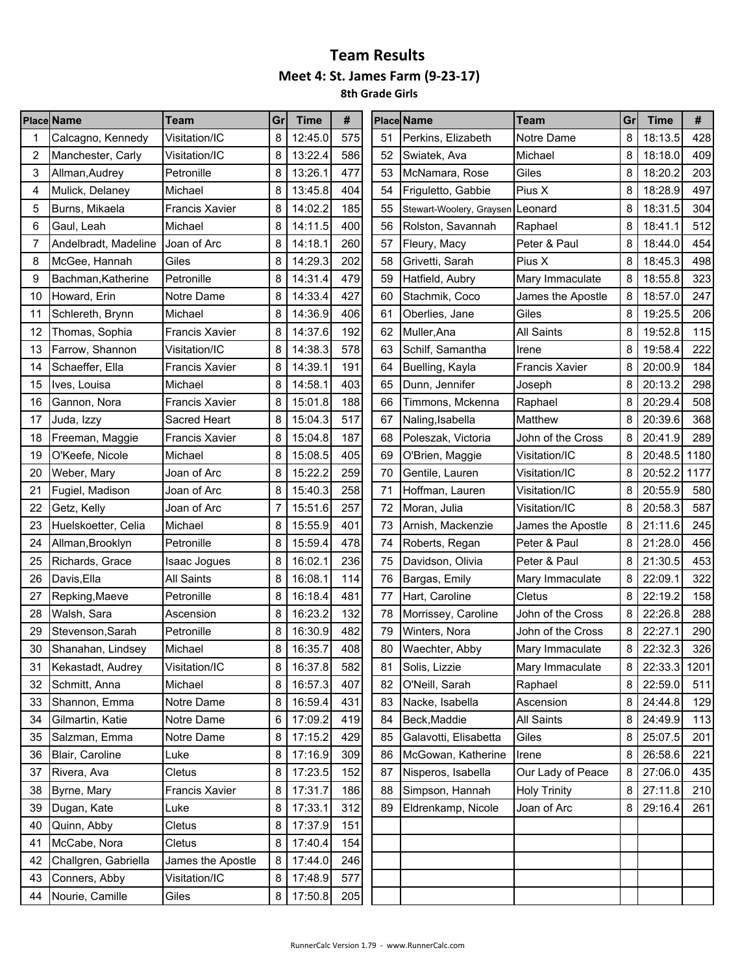|    | <b>Place Name</b>                  | Team                  | Grl | <b>Time</b> | #   |    | <b>Place Name</b>                | Team                  |   | <b>Time</b>  | #    |
|----|------------------------------------|-----------------------|-----|-------------|-----|----|----------------------------------|-----------------------|---|--------------|------|
|    | Calcagno, Kennedy                  | Visitation/IC         | 8   | 12:45.0     | 575 | 51 | Perkins, Elizabeth               | Notre Dame            | 8 | 18:13.5      | 428  |
| 2  | Visitation/IC<br>Manchester, Carly |                       | 8   | 13:22.4     | 586 | 52 | Swiatek, Ava                     | Michael               | 8 | 18:18.0      | 409  |
| 3  | Allman, Audrey                     | Petronille            | 8   | 13:26.1     | 477 | 53 | McNamara, Rose                   | Giles                 | 8 | 18:20.2      | 203  |
| 4  | Mulick, Delaney                    | Michael               | 8   | 13:45.8     | 404 | 54 | Friguletto, Gabbie               | Pius X                | 8 | 18:28.9      | 497  |
| 5  | Burns, Mikaela                     | <b>Francis Xavier</b> | 8   | 14:02.2     | 185 | 55 | Stewart-Woolery, Graysen Leonard |                       | 8 | 18:31.5      | 304  |
| 6  | Gaul, Leah                         | Michael               | 8   | 14:11.5     | 400 | 56 | Rolston, Savannah                | Raphael               | 8 | 18:41.1      | 512  |
| 7  | Andelbradt, Madeline               | Joan of Arc           | 8   | 14:18.1     | 260 | 57 | Fleury, Macy                     | Peter & Paul          | 8 | 18:44.0      | 454  |
| 8  | McGee, Hannah                      | Giles                 | 8   | 14:29.3     | 202 | 58 | Grivetti, Sarah                  | Pius X                | 8 | 18:45.3      | 498  |
| 9  | Bachman, Katherine                 | Petronille            | 8   | 14:31.4     | 479 | 59 | Hatfield, Aubry                  | Mary Immaculate       | 8 | 18:55.8      | 323  |
| 10 | Howard, Erin                       | Notre Dame            | 8   | 14:33.4     | 427 | 60 | Stachmik, Coco                   | James the Apostle     | 8 | 18:57.0      | 247  |
| 11 | Schlereth, Brynn                   | Michael               | 8   | 14:36.9     | 406 | 61 | Oberlies, Jane                   | Giles                 | 8 | 19:25.5      | 206  |
| 12 | Thomas, Sophia                     | <b>Francis Xavier</b> | 8   | 14:37.6     | 192 | 62 | Muller, Ana                      | <b>All Saints</b>     | 8 | 19:52.8      | 115  |
| 13 | Farrow, Shannon                    | Visitation/IC         | 8   | 14:38.3     | 578 | 63 | Schilf, Samantha                 | Irene                 | 8 | 19:58.4      | 222  |
| 14 | Schaeffer, Ella                    | <b>Francis Xavier</b> | 8   | 14:39.1     | 191 | 64 | Buelling, Kayla                  | <b>Francis Xavier</b> | 8 | 20:00.9      | 184  |
| 15 | Ives, Louisa                       | Michael               | 8   | 14:58.1     | 403 | 65 | Dunn, Jennifer                   | Joseph                | 8 | 20:13.2      | 298  |
| 16 | Gannon, Nora                       | Francis Xavier        | 8   | 15:01.8     | 188 | 66 | Timmons, Mckenna                 | Raphael               | 8 | 20:29.4      | 508  |
| 17 | Juda, Izzy                         | Sacred Heart          | 8   | 15:04.3     | 517 | 67 | Naling, Isabella                 | Matthew               | 8 | 20:39.6      | 368  |
| 18 | Freeman, Maggie                    | Francis Xavier        | 8   | 15:04.8     | 187 | 68 | Poleszak, Victoria               | John of the Cross     | 8 | 20:41.9      | 289  |
| 19 | O'Keefe, Nicole                    | Michael               | 8   | 15:08.5     | 405 | 69 | O'Brien, Maggie                  | Visitation/IC         | 8 | 20:48.5      | 1180 |
| 20 | Weber, Mary                        | Joan of Arc           | 8   | 15:22.2     | 259 | 70 | Gentile, Lauren                  | Visitation/IC         | 8 | 20:52.2      | 1177 |
| 21 | Fugiel, Madison                    | Joan of Arc           | 8   | 15:40.3     | 258 | 71 | Hoffman, Lauren                  | Visitation/IC         | 8 | 20:55.9      | 580  |
| 22 | Getz, Kelly                        | Joan of Arc           | 7   | 15:51.6     | 257 | 72 | Moran, Julia                     | Visitation/IC         | 8 | 20:58.3      | 587  |
| 23 | Huelskoetter, Celia                | Michael               | 8   | 15:55.9     | 401 | 73 | Arnish, Mackenzie                | James the Apostle     | 8 | 21:11.6      | 245  |
| 24 | Allman, Brooklyn                   | Petronille            | 8   | 15:59.4     | 478 | 74 | Roberts, Regan                   | Peter & Paul          | 8 | 21:28.0      | 456  |
| 25 | Richards, Grace                    | Isaac Jogues          | 8   | 16:02.1     | 236 | 75 | Davidson, Olivia                 | Peter & Paul          | 8 | 21:30.5      | 453  |
| 26 | Davis, Ella                        | All Saints            | 8   | 16:08.1     | 114 | 76 | Bargas, Emily                    | Mary Immaculate       | 8 | 22:09.1      | 322  |
| 27 | Repking, Maeve                     | Petronille            | 8   | 16:18.4     | 481 | 77 | Hart, Caroline                   | Cletus                | 8 | 22:19.2      | 158  |
| 28 | Walsh, Sara                        | Ascension             | 8   | 16:23.2     | 132 | 78 | Morrissey, Caroline              | John of the Cross     | 8 | 22:26.8      | 288  |
| 29 | Stevenson, Sarah                   | Petronille            | 8   | 16:30.9     | 482 | 79 | Winters, Nora                    | John of the Cross     | 8 | 22:27.1      | 290  |
| 30 | Shanahan, Lindsey                  | Michael               | 8   | 16:35.7     | 408 | 80 | Waechter, Abby                   | Mary Immaculate       | 8 | 22:32.3      | 326  |
| 31 | Kekastadt, Audrey                  | Visitation/IC         | 8   | 16:37.8     | 582 | 81 | Solis, Lizzie                    | Mary Immaculate       | 8 | 22:33.3 1201 |      |
| 32 | Schmitt, Anna                      | Michael               | 8   | 16:57.3     | 407 | 82 | O'Neill, Sarah                   | Raphael               | 8 | 22:59.0      | 511  |
| 33 | Shannon, Emma                      | Notre Dame            | 8   | 16:59.4     | 431 | 83 | Nacke, Isabella                  | Ascension             | 8 | 24:44.8      | 129  |
| 34 | Gilmartin, Katie                   | Notre Dame            | 6   | 17:09.2     | 419 | 84 | Beck, Maddie                     | All Saints            | 8 | 24:49.9      | 113  |
| 35 | Salzman, Emma                      | Notre Dame            | 8   | 17:15.2     | 429 | 85 | Galavotti, Elisabetta            | Giles                 | 8 | 25:07.5      | 201  |
| 36 | Blair, Caroline                    | Luke                  | 8   | 17:16.9     | 309 | 86 | McGowan, Katherine               | Irene                 | 8 | 26:58.6      | 221  |
| 37 | Rivera, Ava                        | Cletus                | 8   | 17:23.5     | 152 | 87 | Nisperos, Isabella               | Our Lady of Peace     | 8 | 27:06.0      | 435  |
| 38 | Byrne, Mary                        | Francis Xavier        | 8   | 17:31.7     | 186 | 88 | Simpson, Hannah                  | <b>Holy Trinity</b>   | 8 | 27:11.8      | 210  |
| 39 | Dugan, Kate                        | Luke                  | 8   | 17:33.1     | 312 | 89 | Eldrenkamp, Nicole               | Joan of Arc           | 8 | 29:16.4      | 261  |
| 40 | Quinn, Abby                        | Cletus                | 8   | 17:37.9     | 151 |    |                                  |                       |   |              |      |
| 41 | McCabe, Nora                       | Cletus                | 8   | 17:40.4     | 154 |    |                                  |                       |   |              |      |
| 42 | Challgren, Gabriella               | James the Apostle     | 8   | 17:44.0     | 246 |    |                                  |                       |   |              |      |
| 43 | Conners, Abby                      | Visitation/IC         | 8   | 17:48.9     | 577 |    |                                  |                       |   |              |      |
| 44 | Nourie, Camille                    | Giles                 | 8   | 17:50.8     | 205 |    |                                  |                       |   |              |      |